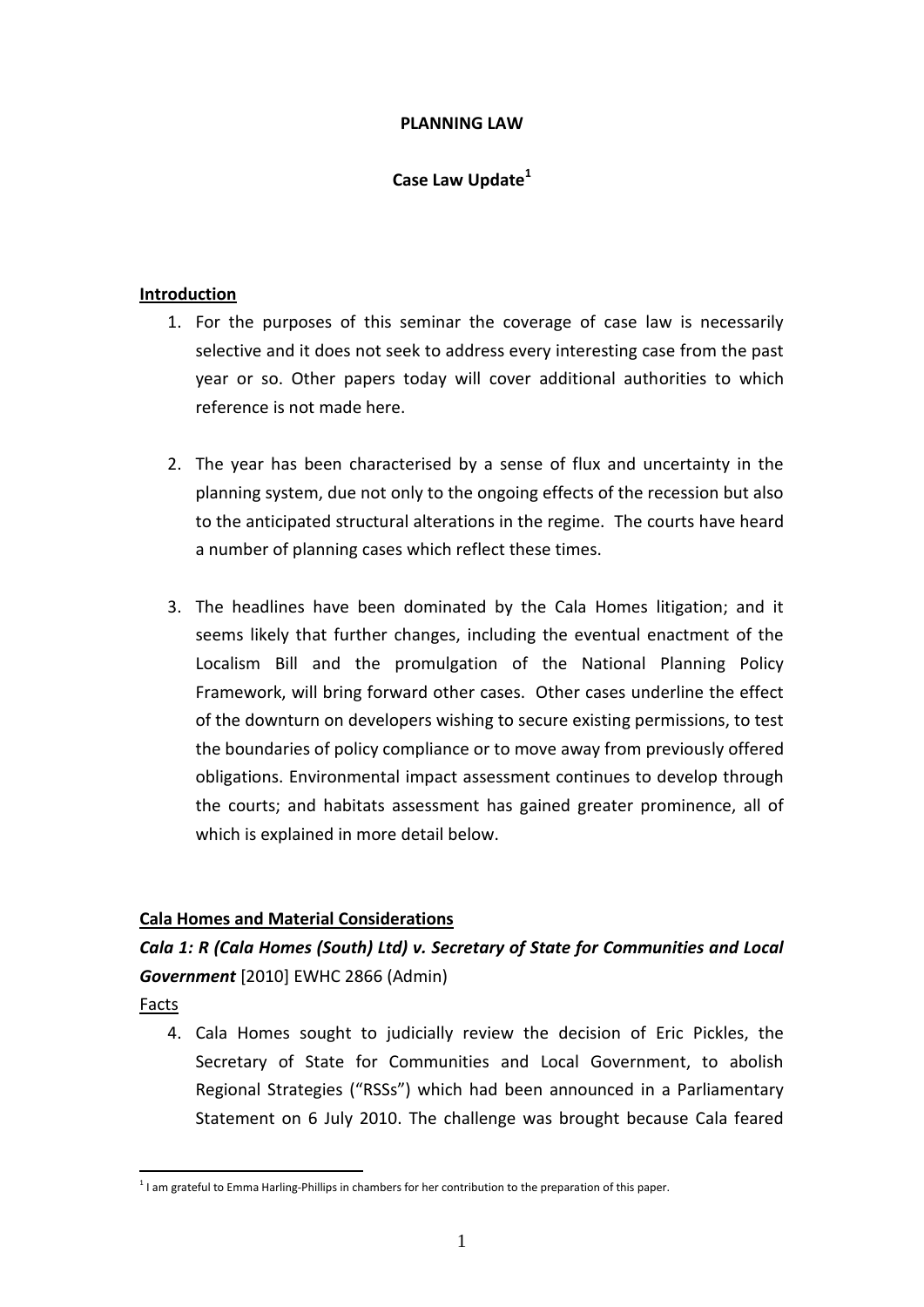## **PLANNING LAW**

## **Case Law Update<sup>1</sup>**

### **Introduction**

- 1. For the purposes of this seminar the coverage of case law is necessarily selective and it does not seek to address every interesting case from the past year or so. Other papers today will cover additional authorities to which reference is not made here.
- 2. The year has been characterised by a sense of flux and uncertainty in the planning system, due not only to the ongoing effects of the recession but also to the anticipated structural alterations in the regime. The courts have heard a number of planning cases which reflect these times.
- 3. The headlines have been dominated by the Cala Homes litigation; and it seems likely that further changes, including the eventual enactment of the Localism Bill and the promulgation of the National Planning Policy Framework, will bring forward other cases. Other cases underline the effect of the downturn on developers wishing to secure existing permissions, to test the boundaries of policy compliance or to move away from previously offered obligations. Environmental impact assessment continues to develop through the courts; and habitats assessment has gained greater prominence, all of which is explained in more detail below.

## **Cala Homes and Material Considerations**

## *Cala 1: R (Cala Homes (South) Ltd) v. Secretary of State for Communities and Local Government* [2010] EWHC 2866 (Admin)

Facts

<u>.</u>

4. Cala Homes sought to judicially review the decision of Eric Pickles, the Secretary of State for Communities and Local Government, to abolish Regional Strategies ("RSSs") which had been announced in a Parliamentary Statement on 6 July 2010. The challenge was brought because Cala feared

 $<sup>1</sup>$  I am grateful to Emma Harling-Phillips in chambers for her contribution to the preparation of this paper.</sup>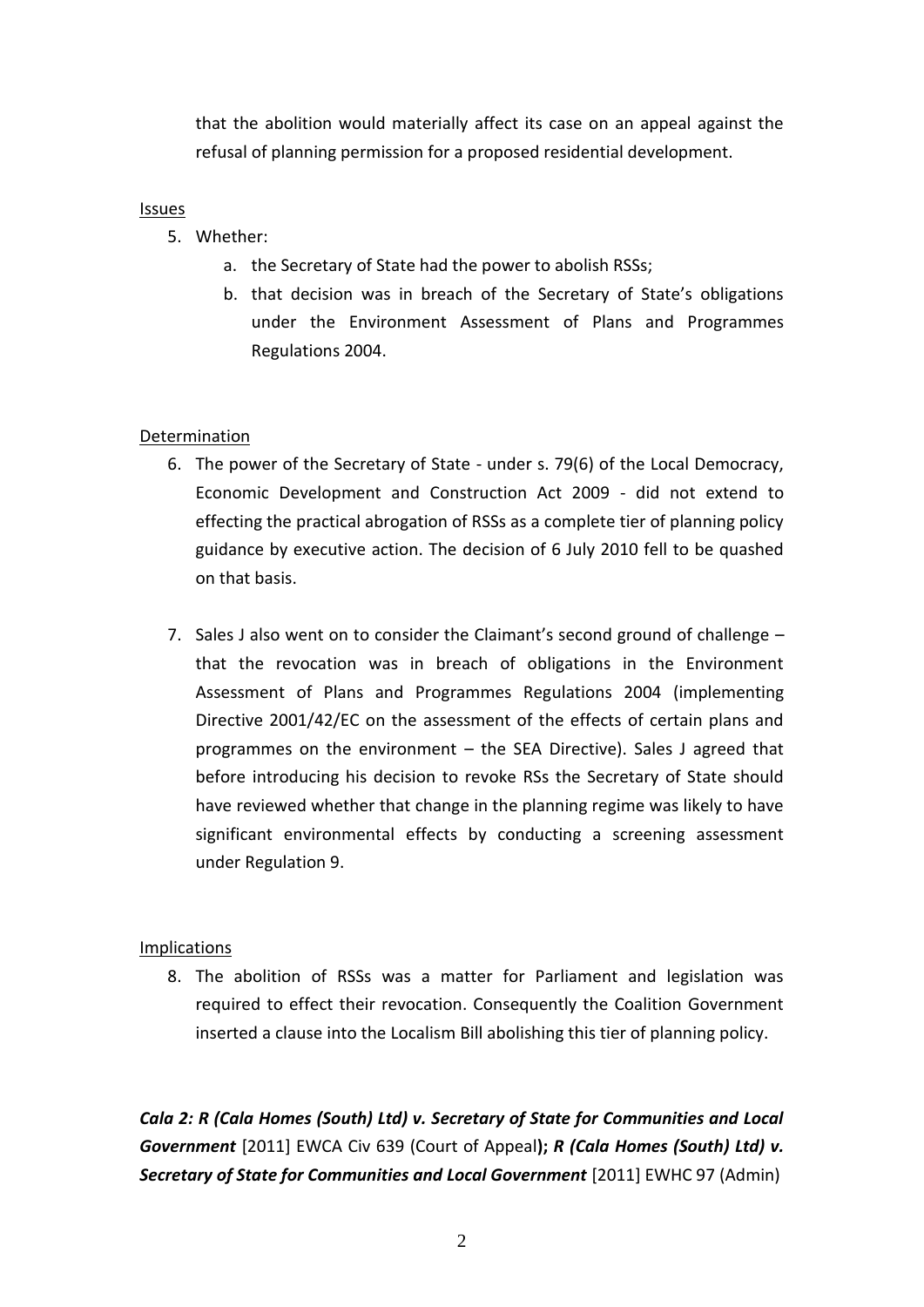that the abolition would materially affect its case on an appeal against the refusal of planning permission for a proposed residential development.

## Issues

- 5. Whether:
	- a. the Secretary of State had the power to abolish RSSs;
	- b. that decision was in breach of the Secretary of State's obligations under the Environment Assessment of Plans and Programmes Regulations 2004.

## Determination

- 6. The power of the Secretary of State under s. 79(6) of the Local Democracy, Economic Development and Construction Act 2009 - did not extend to effecting the practical abrogation of RSSs as a complete tier of planning policy guidance by executive action. The decision of 6 July 2010 fell to be quashed on that basis.
- 7. Sales J also went on to consider the Claimant's second ground of challenge that the revocation was in breach of obligations in the Environment Assessment of Plans and Programmes Regulations 2004 (implementing Directive 2001/42/EC on the assessment of the effects of certain plans and programmes on the environment – the SEA Directive). Sales J agreed that before introducing his decision to revoke RSs the Secretary of State should have reviewed whether that change in the planning regime was likely to have significant environmental effects by conducting a screening assessment under Regulation 9.

## Implications

8. The abolition of RSSs was a matter for Parliament and legislation was required to effect their revocation. Consequently the Coalition Government inserted a clause into the Localism Bill abolishing this tier of planning policy.

*Cala 2: R (Cala Homes (South) Ltd) v. Secretary of State for Communities and Local Government* [2011] EWCA Civ 639 (Court of Appeal**);** *R (Cala Homes (South) Ltd) v. Secretary of State for Communities and Local Government* [2011] EWHC 97 (Admin)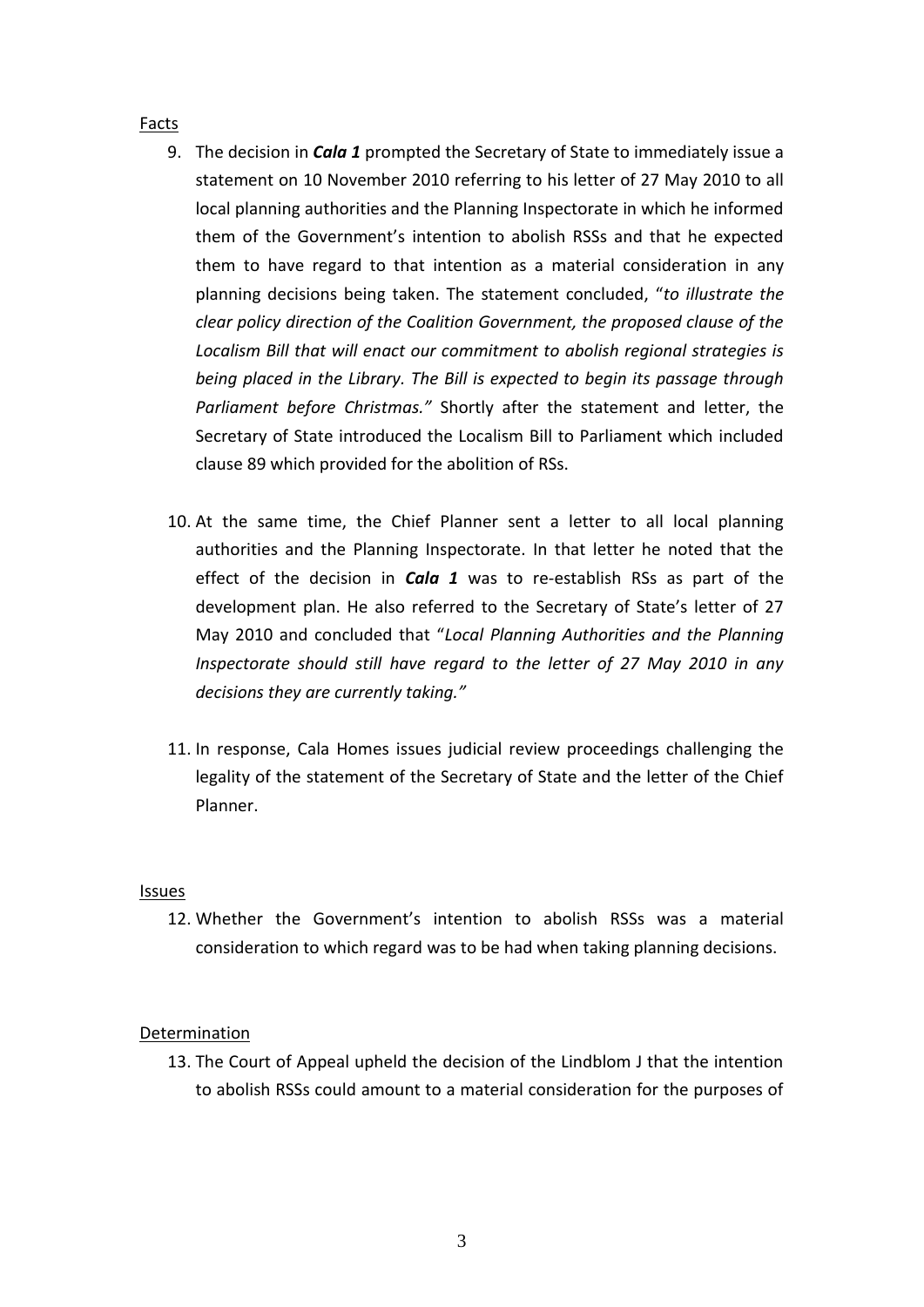### Facts

- 9. The decision in *Cala 1* prompted the Secretary of State to immediately issue a statement on 10 November 2010 referring to his letter of 27 May 2010 to all local planning authorities and the Planning Inspectorate in which he informed them of the Government's intention to abolish RSSs and that he expected them to have regard to that intention as a material consideration in any planning decisions being taken. The statement concluded, "*to illustrate the clear policy direction of the Coalition Government, the proposed clause of the Localism Bill that will enact our commitment to abolish regional strategies is being placed in the Library. The Bill is expected to begin its passage through Parliament before Christmas."* Shortly after the statement and letter, the Secretary of State introduced the Localism Bill to Parliament which included clause 89 which provided for the abolition of RSs.
- 10. At the same time, the Chief Planner sent a letter to all local planning authorities and the Planning Inspectorate. In that letter he noted that the effect of the decision in *Cala 1* was to re-establish RSs as part of the development plan. He also referred to the Secretary of State's letter of 27 May 2010 and concluded that "*Local Planning Authorities and the Planning Inspectorate should still have regard to the letter of 27 May 2010 in any decisions they are currently taking."*
- 11. In response, Cala Homes issues judicial review proceedings challenging the legality of the statement of the Secretary of State and the letter of the Chief Planner.

#### Issues

12. Whether the Government's intention to abolish RSSs was a material consideration to which regard was to be had when taking planning decisions.

#### Determination

13. The Court of Appeal upheld the decision of the Lindblom J that the intention to abolish RSSs could amount to a material consideration for the purposes of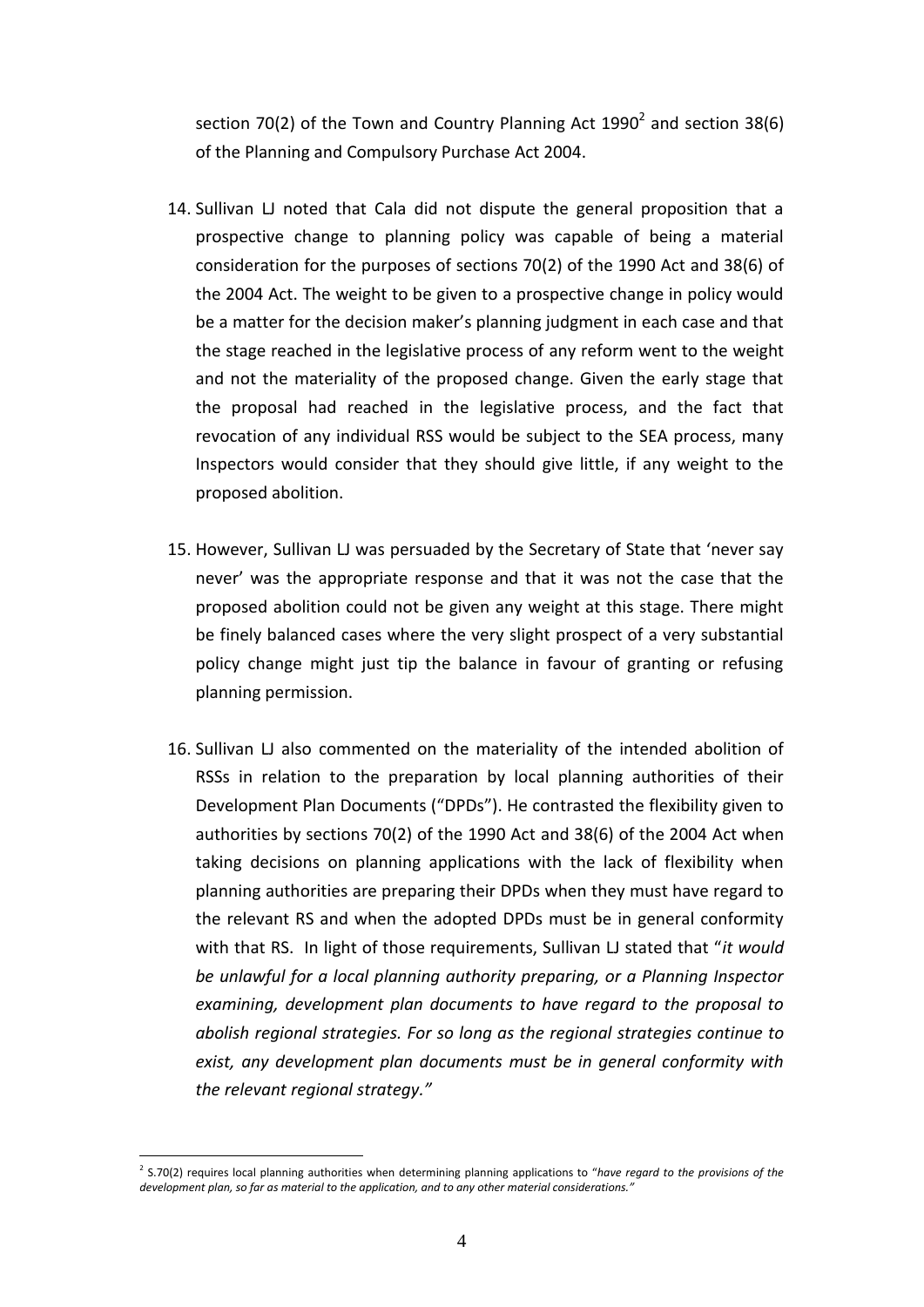section 70(2) of the Town and Country Planning Act 1990<sup>2</sup> and section 38(6) of the Planning and Compulsory Purchase Act 2004.

- 14. Sullivan LJ noted that Cala did not dispute the general proposition that a prospective change to planning policy was capable of being a material consideration for the purposes of sections 70(2) of the 1990 Act and 38(6) of the 2004 Act. The weight to be given to a prospective change in policy would be a matter for the decision maker's planning judgment in each case and that the stage reached in the legislative process of any reform went to the weight and not the materiality of the proposed change. Given the early stage that the proposal had reached in the legislative process, and the fact that revocation of any individual RSS would be subject to the SEA process, many Inspectors would consider that they should give little, if any weight to the proposed abolition.
- 15. However, Sullivan LJ was persuaded by the Secretary of State that 'never say never' was the appropriate response and that it was not the case that the proposed abolition could not be given any weight at this stage. There might be finely balanced cases where the very slight prospect of a very substantial policy change might just tip the balance in favour of granting or refusing planning permission.
- 16. Sullivan LJ also commented on the materiality of the intended abolition of RSSs in relation to the preparation by local planning authorities of their Development Plan Documents ("DPDs"). He contrasted the flexibility given to authorities by sections 70(2) of the 1990 Act and 38(6) of the 2004 Act when taking decisions on planning applications with the lack of flexibility when planning authorities are preparing their DPDs when they must have regard to the relevant RS and when the adopted DPDs must be in general conformity with that RS. In light of those requirements, Sullivan LJ stated that "*it would be unlawful for a local planning authority preparing, or a Planning Inspector examining, development plan documents to have regard to the proposal to abolish regional strategies. For so long as the regional strategies continue to exist, any development plan documents must be in general conformity with the relevant regional strategy."*

<u>.</u>

<sup>2</sup> S.70(2) requires local planning authorities when determining planning applications to "*have regard to the provisions of the development plan, so far as material to the application, and to any other material considerations."*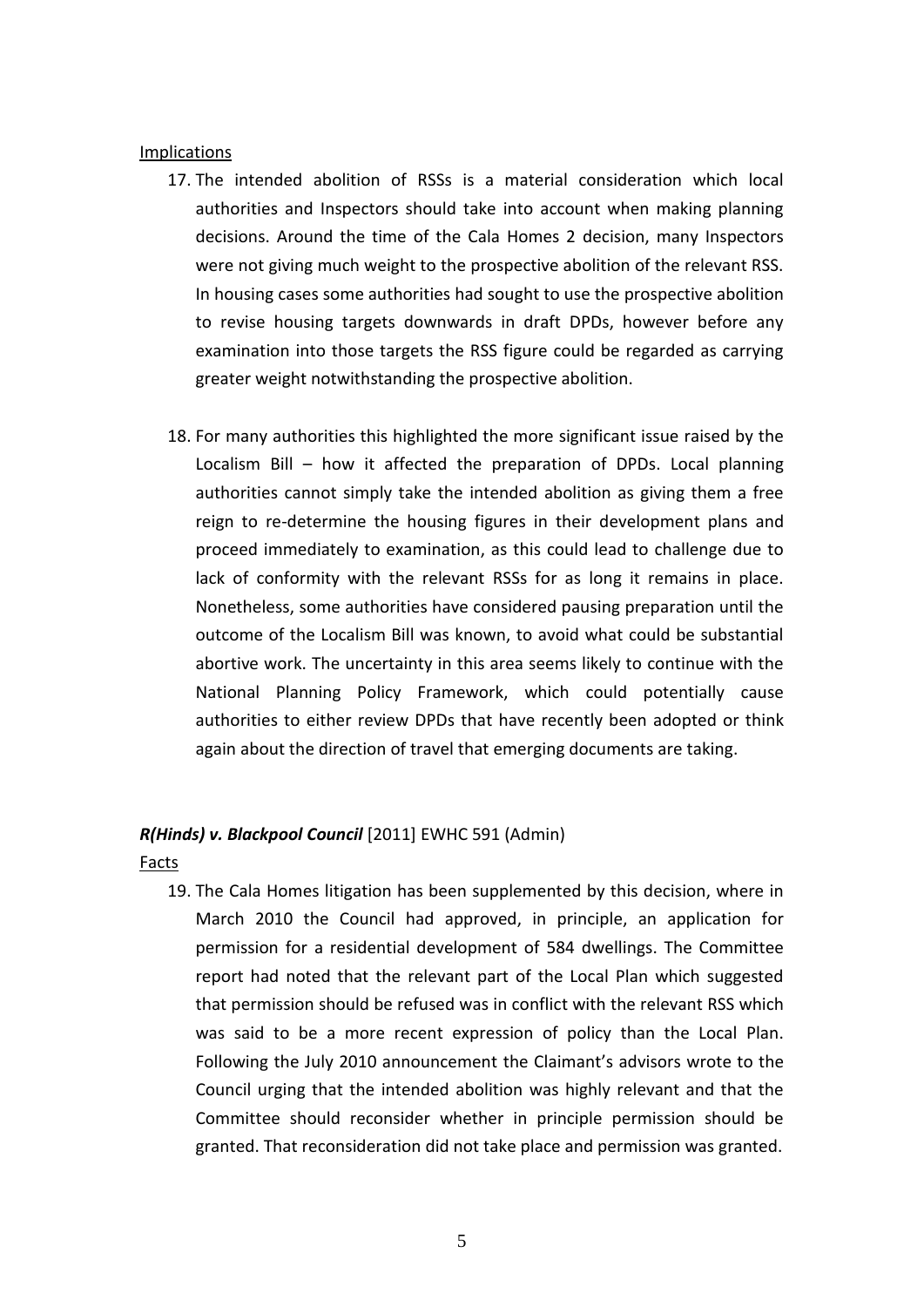#### Implications

- 17. The intended abolition of RSSs is a material consideration which local authorities and Inspectors should take into account when making planning decisions. Around the time of the Cala Homes 2 decision, many Inspectors were not giving much weight to the prospective abolition of the relevant RSS. In housing cases some authorities had sought to use the prospective abolition to revise housing targets downwards in draft DPDs, however before any examination into those targets the RSS figure could be regarded as carrying greater weight notwithstanding the prospective abolition.
- 18. For many authorities this highlighted the more significant issue raised by the Localism Bill – how it affected the preparation of DPDs. Local planning authorities cannot simply take the intended abolition as giving them a free reign to re-determine the housing figures in their development plans and proceed immediately to examination, as this could lead to challenge due to lack of conformity with the relevant RSSs for as long it remains in place. Nonetheless, some authorities have considered pausing preparation until the outcome of the Localism Bill was known, to avoid what could be substantial abortive work. The uncertainty in this area seems likely to continue with the National Planning Policy Framework, which could potentially cause authorities to either review DPDs that have recently been adopted or think again about the direction of travel that emerging documents are taking.

#### *R(Hinds) v. Blackpool Council* [2011] EWHC 591 (Admin)

Facts

19. The Cala Homes litigation has been supplemented by this decision, where in March 2010 the Council had approved, in principle, an application for permission for a residential development of 584 dwellings. The Committee report had noted that the relevant part of the Local Plan which suggested that permission should be refused was in conflict with the relevant RSS which was said to be a more recent expression of policy than the Local Plan. Following the July 2010 announcement the Claimant's advisors wrote to the Council urging that the intended abolition was highly relevant and that the Committee should reconsider whether in principle permission should be granted. That reconsideration did not take place and permission was granted.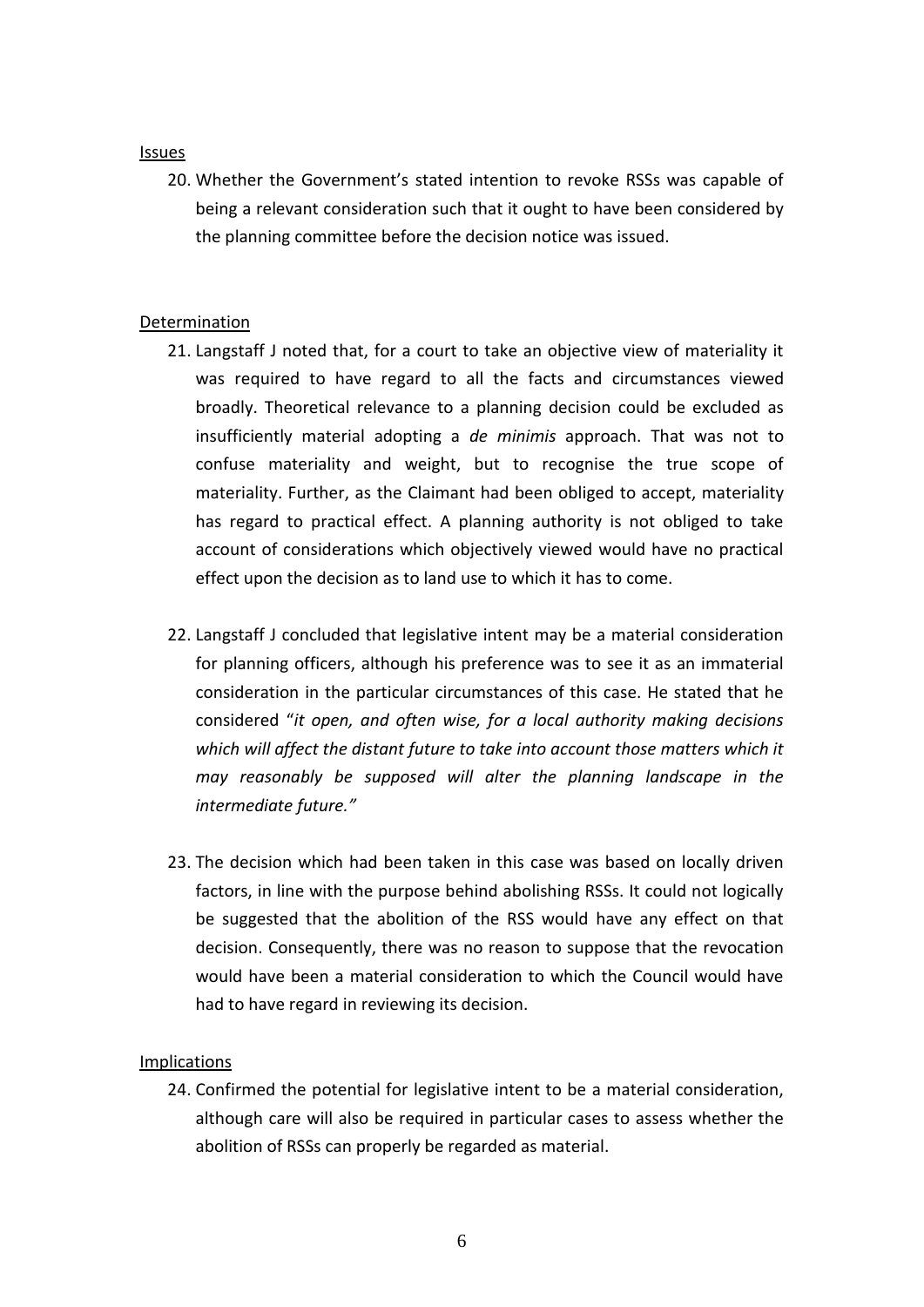#### Issues

20. Whether the Government's stated intention to revoke RSSs was capable of being a relevant consideration such that it ought to have been considered by the planning committee before the decision notice was issued.

## **Determination**

- 21. Langstaff J noted that, for a court to take an objective view of materiality it was required to have regard to all the facts and circumstances viewed broadly. Theoretical relevance to a planning decision could be excluded as insufficiently material adopting a *de minimis* approach. That was not to confuse materiality and weight, but to recognise the true scope of materiality. Further, as the Claimant had been obliged to accept, materiality has regard to practical effect. A planning authority is not obliged to take account of considerations which objectively viewed would have no practical effect upon the decision as to land use to which it has to come.
- 22. Langstaff J concluded that legislative intent may be a material consideration for planning officers, although his preference was to see it as an immaterial consideration in the particular circumstances of this case. He stated that he considered "*it open, and often wise, for a local authority making decisions which will affect the distant future to take into account those matters which it may reasonably be supposed will alter the planning landscape in the intermediate future."*
- 23. The decision which had been taken in this case was based on locally driven factors, in line with the purpose behind abolishing RSSs. It could not logically be suggested that the abolition of the RSS would have any effect on that decision. Consequently, there was no reason to suppose that the revocation would have been a material consideration to which the Council would have had to have regard in reviewing its decision.

## Implications

24. Confirmed the potential for legislative intent to be a material consideration, although care will also be required in particular cases to assess whether the abolition of RSSs can properly be regarded as material.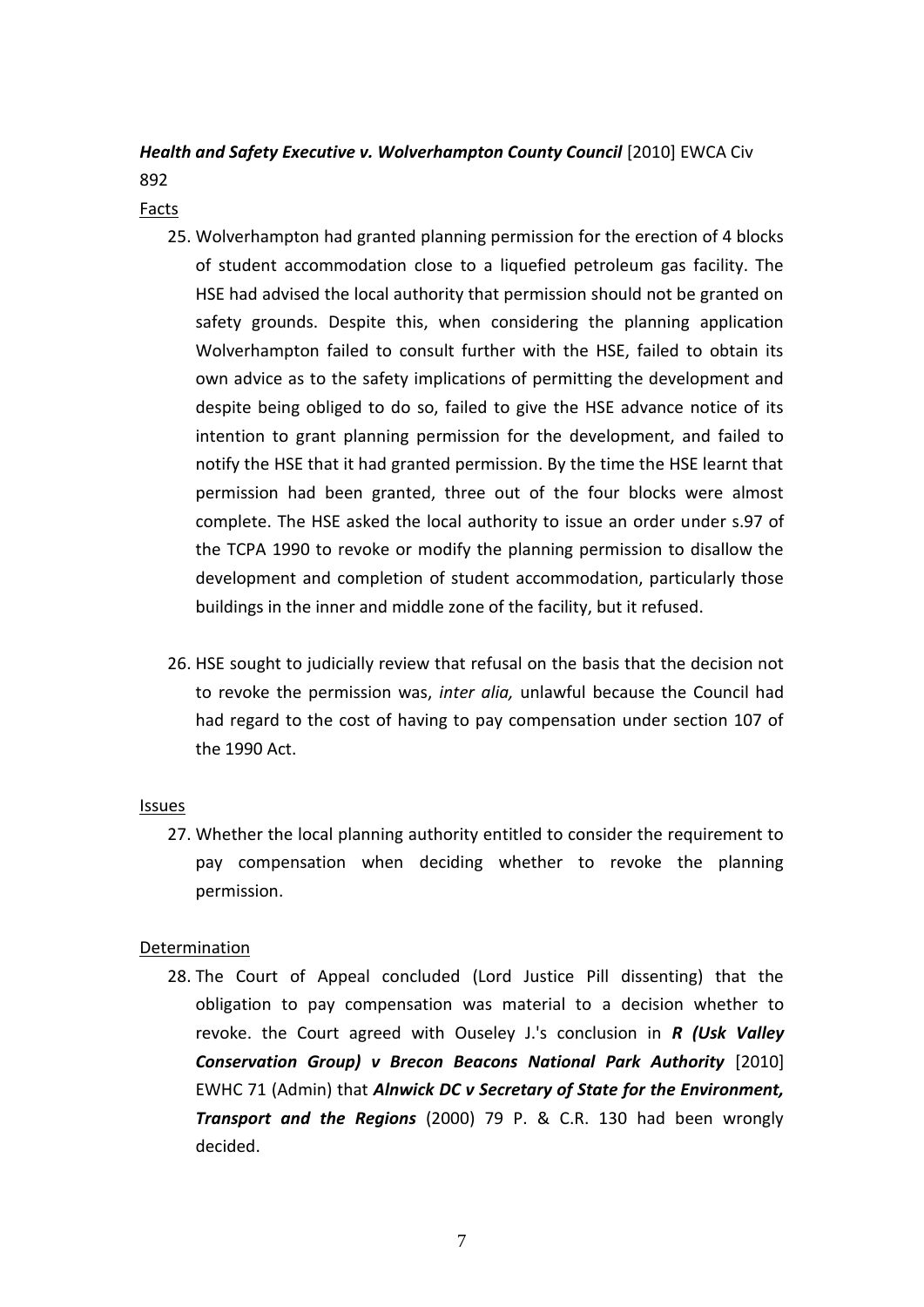## *Health and Safety Executive v. Wolverhampton County Council* [2010] EWCA Civ 892

Facts

- 25. Wolverhampton had granted planning permission for the erection of 4 blocks of student accommodation close to a liquefied petroleum gas facility. The HSE had advised the local authority that permission should not be granted on safety grounds. Despite this, when considering the planning application Wolverhampton failed to consult further with the HSE, failed to obtain its own advice as to the safety implications of permitting the development and despite being obliged to do so, failed to give the HSE advance notice of its intention to grant planning permission for the development, and failed to notify the HSE that it had granted permission. By the time the HSE learnt that permission had been granted, three out of the four blocks were almost complete. The HSE asked the local authority to issue an order under s.97 of the TCPA 1990 to revoke or modify the planning permission to disallow the development and completion of student accommodation, particularly those buildings in the inner and middle zone of the facility, but it refused.
- 26. HSE sought to judicially review that refusal on the basis that the decision not to revoke the permission was, *inter alia,* unlawful because the Council had had regard to the cost of having to pay compensation under section 107 of the 1990 Act.

## **Issues**

27. Whether the local planning authority entitled to consider the requirement to pay compensation when deciding whether to revoke the planning permission.

## Determination

28. The Court of Appeal concluded (Lord Justice Pill dissenting) that the obligation to pay compensation was material to a decision whether to revoke. the Court agreed with Ouseley J.'s conclusion in *R (Usk Valley Conservation Group) v Brecon Beacons National Park Authority* [2010] EWHC 71 (Admin) that *Alnwick DC v Secretary of State for the Environment, Transport and the Regions* (2000) 79 P. & C.R. 130 had been wrongly decided.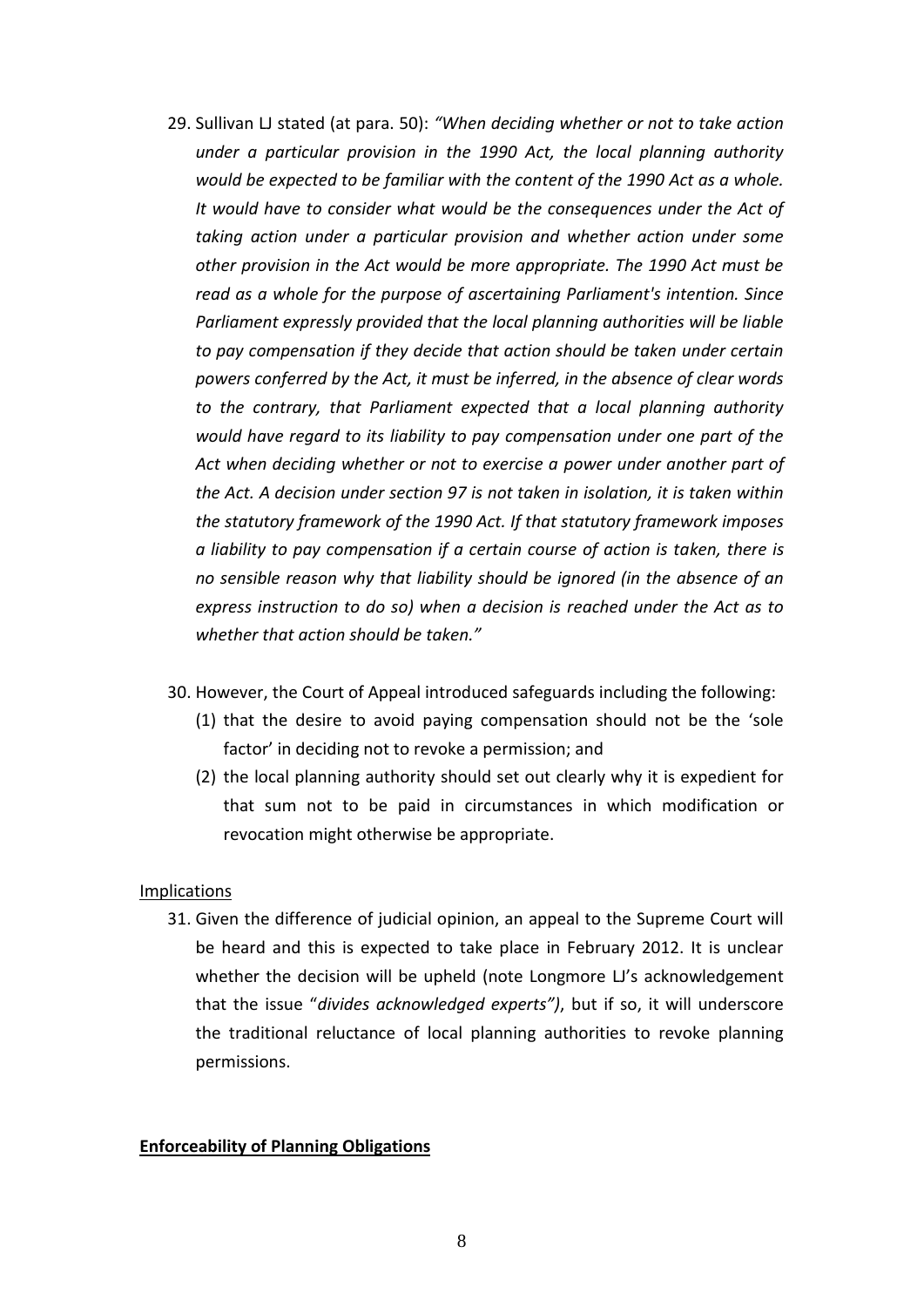- 29. Sullivan LJ stated (at para. 50): *"When deciding whether or not to take action under a particular provision in the 1990 Act, the local planning authority would be expected to be familiar with the content of the 1990 Act as a whole. It would have to consider what would be the consequences under the Act of taking action under a particular provision and whether action under some other provision in the Act would be more appropriate. The 1990 Act must be read as a whole for the purpose of ascertaining Parliament's intention. Since Parliament expressly provided that the local planning authorities will be liable to pay compensation if they decide that action should be taken under certain powers conferred by the Act, it must be inferred, in the absence of clear words to the contrary, that Parliament expected that a local planning authority would have regard to its liability to pay compensation under one part of the Act when deciding whether or not to exercise a power under another part of the Act. A decision under section 97 is not taken in isolation, it is taken within the statutory framework of the 1990 Act. If that statutory framework imposes a liability to pay compensation if a certain course of action is taken, there is no sensible reason why that liability should be ignored (in the absence of an express instruction to do so) when a decision is reached under the Act as to whether that action should be taken."*
- 30. However, the Court of Appeal introduced safeguards including the following:
	- (1) that the desire to avoid paying compensation should not be the 'sole factor' in deciding not to revoke a permission; and
	- (2) the local planning authority should set out clearly why it is expedient for that sum not to be paid in circumstances in which modification or revocation might otherwise be appropriate.

#### Implications

31. Given the difference of judicial opinion, an appeal to the Supreme Court will be heard and this is expected to take place in February 2012. It is unclear whether the decision will be upheld (note Longmore LJ's acknowledgement that the issue "*divides acknowledged experts")*, but if so, it will underscore the traditional reluctance of local planning authorities to revoke planning permissions.

#### **Enforceability of Planning Obligations**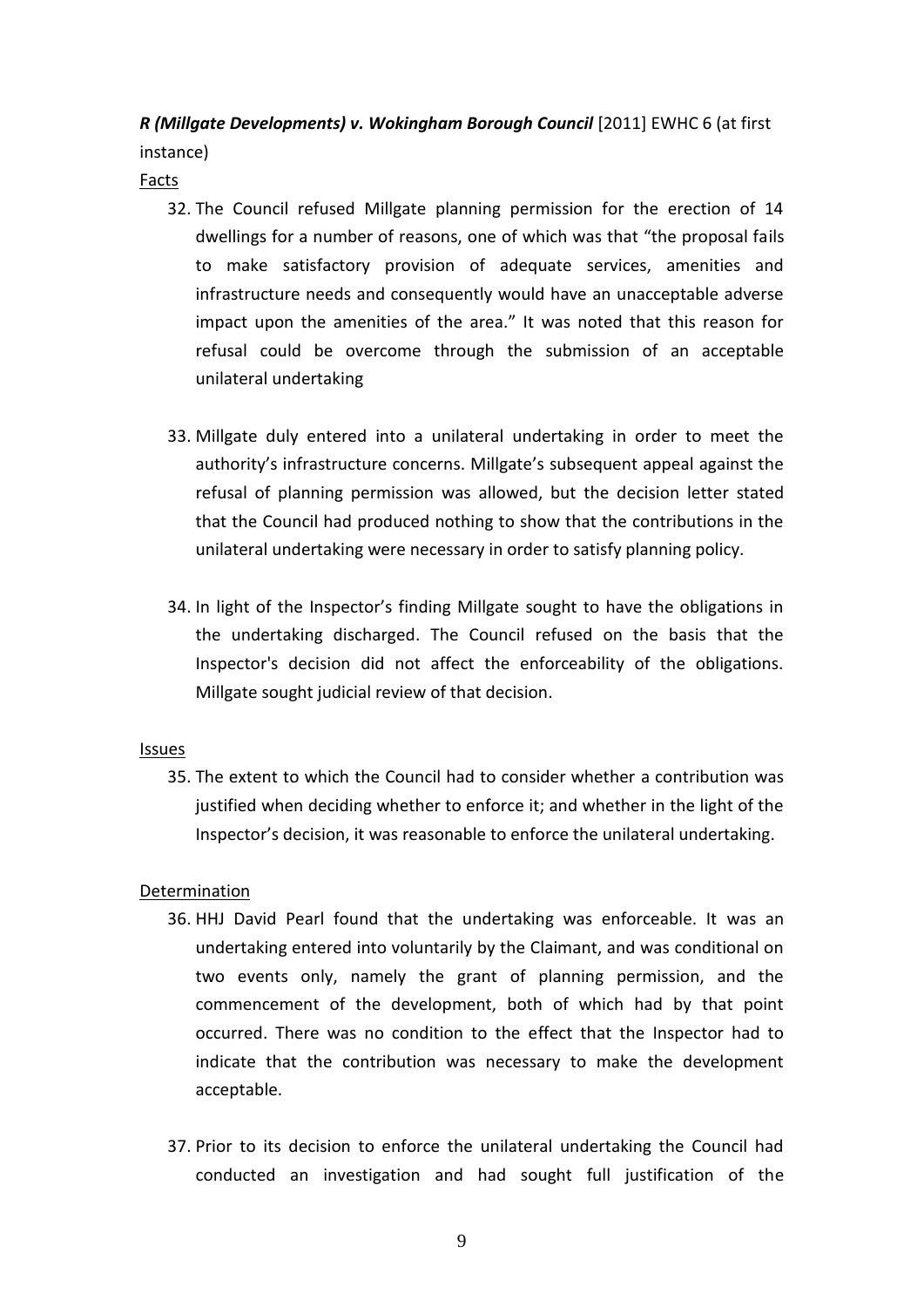# *R* (Millgate Developments) v. Wokingham Borough Council [2011] EWHC 6 (at first

instance)

Facts

- 32. The Council refused Millgate planning permission for the erection of 14 dwellings for a number of reasons, one of which was that "the proposal fails to make satisfactory provision of adequate services, amenities and infrastructure needs and consequently would have an unacceptable adverse impact upon the amenities of the area." It was noted that this reason for refusal could be overcome through the submission of an acceptable unilateral undertaking
- 33. Millgate duly entered into a unilateral undertaking in order to meet the authority's infrastructure concerns. Millgate's subsequent appeal against the refusal of planning permission was allowed, but the decision letter stated that the Council had produced nothing to show that the contributions in the unilateral undertaking were necessary in order to satisfy planning policy.
- 34. In light of the Inspector's finding Millgate sought to have the obligations in the undertaking discharged. The Council refused on the basis that the Inspector's decision did not affect the enforceability of the obligations. Millgate sought judicial review of that decision.

## Issues

35. The extent to which the Council had to consider whether a contribution was justified when deciding whether to enforce it; and whether in the light of the Inspector's decision, it was reasonable to enforce the unilateral undertaking.

## Determination

- 36. HHJ David Pearl found that the undertaking was enforceable. It was an undertaking entered into voluntarily by the Claimant, and was conditional on two events only, namely the grant of planning permission, and the commencement of the development, both of which had by that point occurred. There was no condition to the effect that the Inspector had to indicate that the contribution was necessary to make the development acceptable.
- 37. Prior to its decision to enforce the unilateral undertaking the Council had conducted an investigation and had sought full justification of the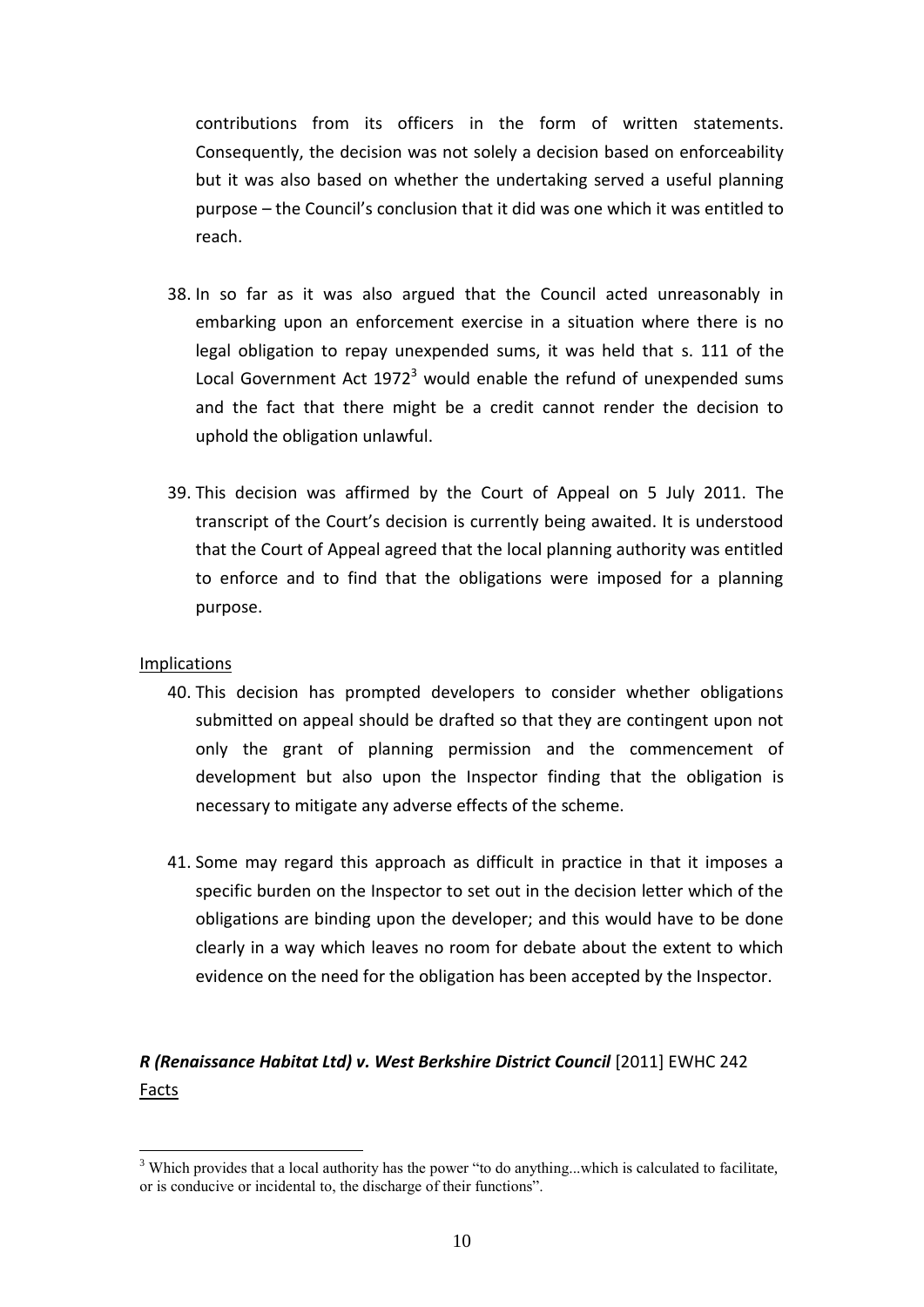contributions from its officers in the form of written statements. Consequently, the decision was not solely a decision based on enforceability but it was also based on whether the undertaking served a useful planning purpose – the Council's conclusion that it did was one which it was entitled to reach.

- 38. In so far as it was also argued that the Council acted unreasonably in embarking upon an enforcement exercise in a situation where there is no legal obligation to repay unexpended sums, it was held that s. 111 of the Local Government Act  $1972<sup>3</sup>$  would enable the refund of unexpended sums and the fact that there might be a credit cannot render the decision to uphold the obligation unlawful.
- 39. This decision was affirmed by the Court of Appeal on 5 July 2011. The transcript of the Court's decision is currently being awaited. It is understood that the Court of Appeal agreed that the local planning authority was entitled to enforce and to find that the obligations were imposed for a planning purpose.

## Implications

1

- 40. This decision has prompted developers to consider whether obligations submitted on appeal should be drafted so that they are contingent upon not only the grant of planning permission and the commencement of development but also upon the Inspector finding that the obligation is necessary to mitigate any adverse effects of the scheme.
- 41. Some may regard this approach as difficult in practice in that it imposes a specific burden on the Inspector to set out in the decision letter which of the obligations are binding upon the developer; and this would have to be done clearly in a way which leaves no room for debate about the extent to which evidence on the need for the obligation has been accepted by the Inspector.

## *R (Renaissance Habitat Ltd) v. West Berkshire District Council* [2011] EWHC 242 **Facts**

<sup>&</sup>lt;sup>3</sup> Which provides that a local authority has the power "to do anything...which is calculated to facilitate, or is conducive or incidental to, the discharge of their functions".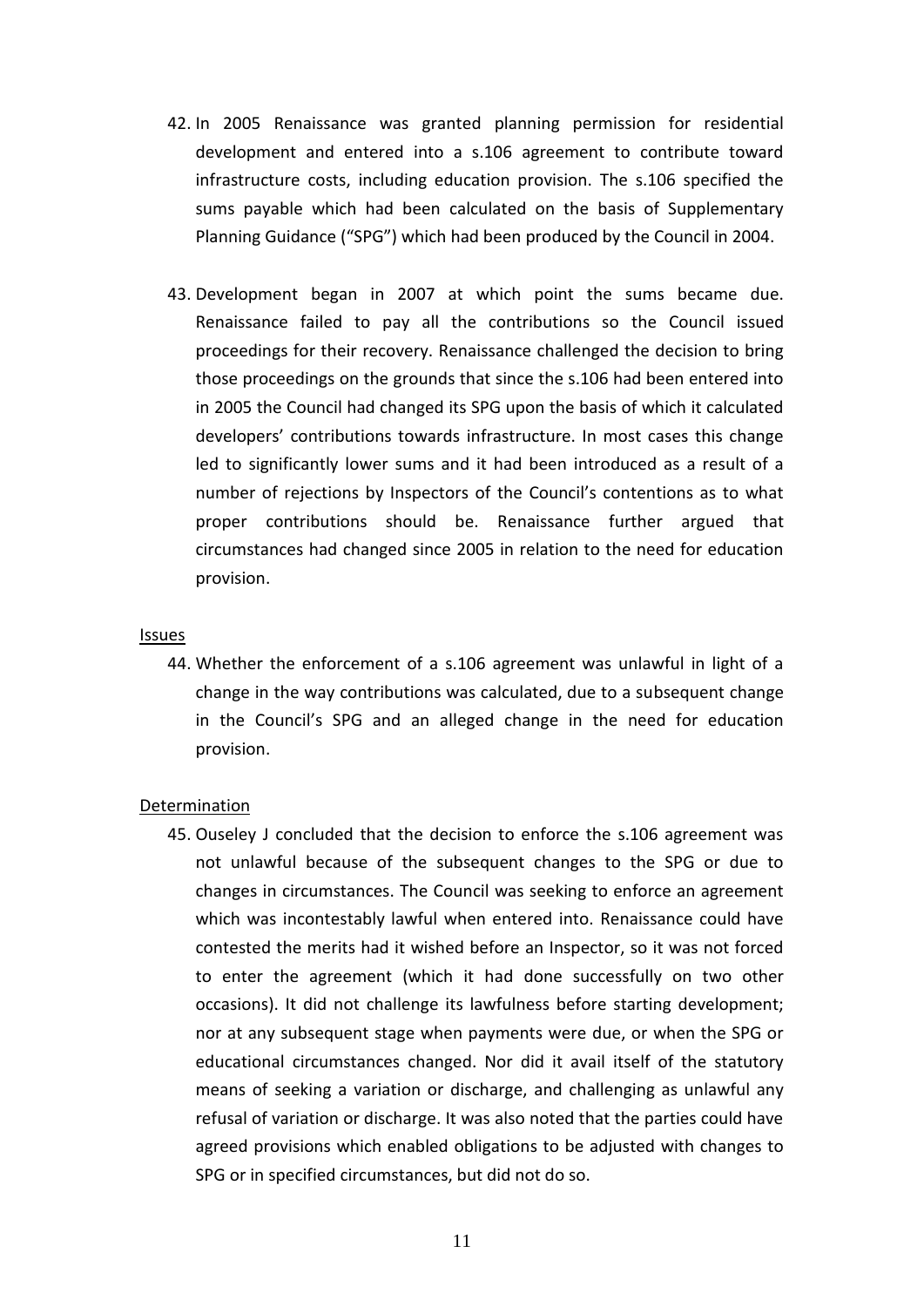- 42. In 2005 Renaissance was granted planning permission for residential development and entered into a s.106 agreement to contribute toward infrastructure costs, including education provision. The s.106 specified the sums payable which had been calculated on the basis of Supplementary Planning Guidance ("SPG") which had been produced by the Council in 2004.
- 43. Development began in 2007 at which point the sums became due. Renaissance failed to pay all the contributions so the Council issued proceedings for their recovery. Renaissance challenged the decision to bring those proceedings on the grounds that since the s.106 had been entered into in 2005 the Council had changed its SPG upon the basis of which it calculated developers' contributions towards infrastructure. In most cases this change led to significantly lower sums and it had been introduced as a result of a number of rejections by Inspectors of the Council's contentions as to what proper contributions should be. Renaissance further argued that circumstances had changed since 2005 in relation to the need for education provision.

#### **Issues**

44. Whether the enforcement of a s.106 agreement was unlawful in light of a change in the way contributions was calculated, due to a subsequent change in the Council's SPG and an alleged change in the need for education provision.

#### Determination

45. Ouseley J concluded that the decision to enforce the s.106 agreement was not unlawful because of the subsequent changes to the SPG or due to changes in circumstances. The Council was seeking to enforce an agreement which was incontestably lawful when entered into. Renaissance could have contested the merits had it wished before an Inspector, so it was not forced to enter the agreement (which it had done successfully on two other occasions). It did not challenge its lawfulness before starting development; nor at any subsequent stage when payments were due, or when the SPG or educational circumstances changed. Nor did it avail itself of the statutory means of seeking a variation or discharge, and challenging as unlawful any refusal of variation or discharge. It was also noted that the parties could have agreed provisions which enabled obligations to be adjusted with changes to SPG or in specified circumstances, but did not do so.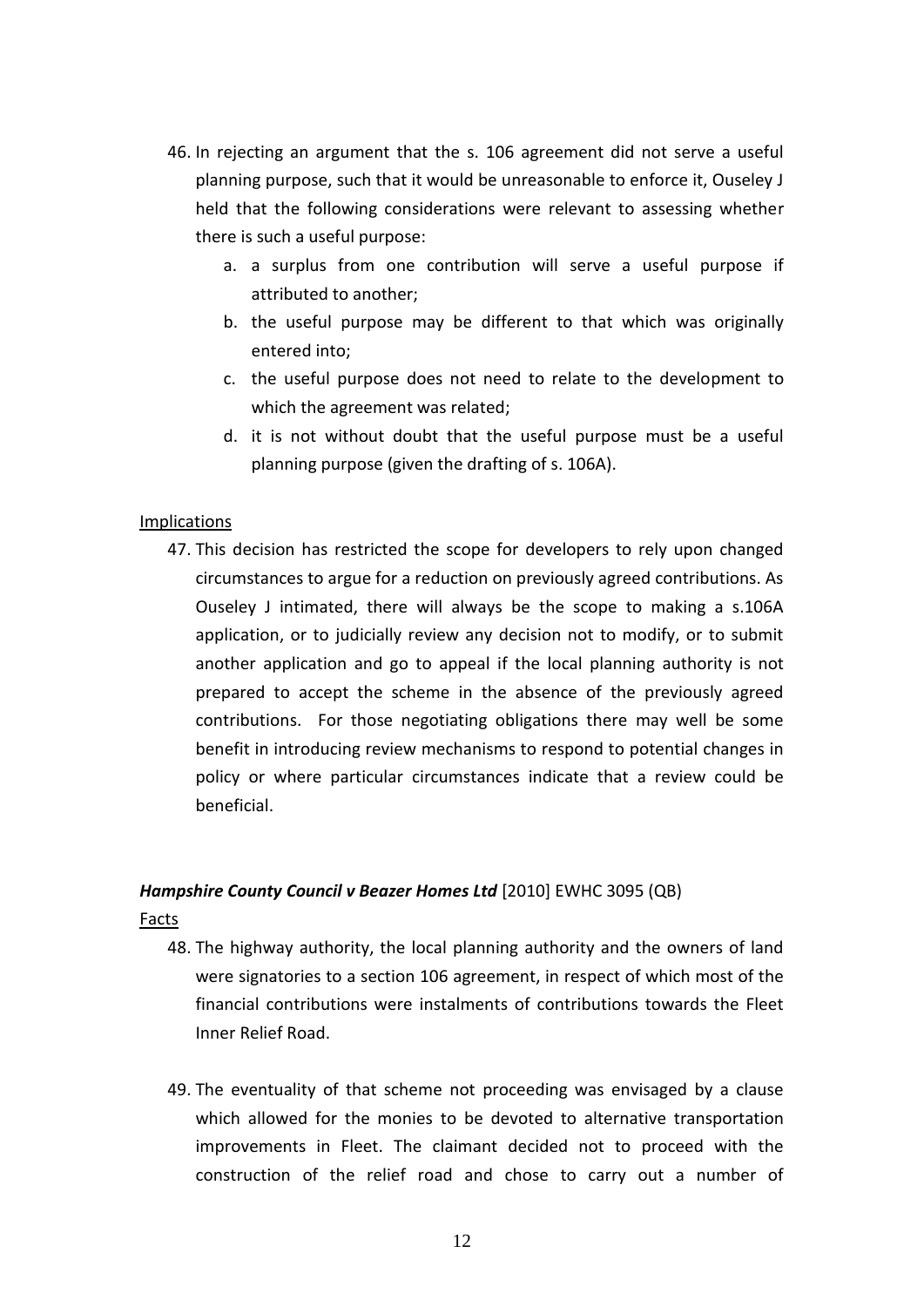- 46. In rejecting an argument that the s. 106 agreement did not serve a useful planning purpose, such that it would be unreasonable to enforce it, Ouseley J held that the following considerations were relevant to assessing whether there is such a useful purpose:
	- a. a surplus from one contribution will serve a useful purpose if attributed to another;
	- b. the useful purpose may be different to that which was originally entered into;
	- c. the useful purpose does not need to relate to the development to which the agreement was related;
	- d. it is not without doubt that the useful purpose must be a useful planning purpose (given the drafting of s. 106A).

## Implications

47. This decision has restricted the scope for developers to rely upon changed circumstances to argue for a reduction on previously agreed contributions. As Ouseley J intimated, there will always be the scope to making a s.106A application, or to judicially review any decision not to modify, or to submit another application and go to appeal if the local planning authority is not prepared to accept the scheme in the absence of the previously agreed contributions. For those negotiating obligations there may well be some benefit in introducing review mechanisms to respond to potential changes in policy or where particular circumstances indicate that a review could be beneficial.

## *Hampshire County Council v Beazer Homes Ltd* [2010] EWHC 3095 (QB)

**Facts** 

- 48. The highway authority, the local planning authority and the owners of land were signatories to a section 106 agreement, in respect of which most of the financial contributions were instalments of contributions towards the Fleet Inner Relief Road.
- 49. The eventuality of that scheme not proceeding was envisaged by a clause which allowed for the monies to be devoted to alternative transportation improvements in Fleet. The claimant decided not to proceed with the construction of the relief road and chose to carry out a number of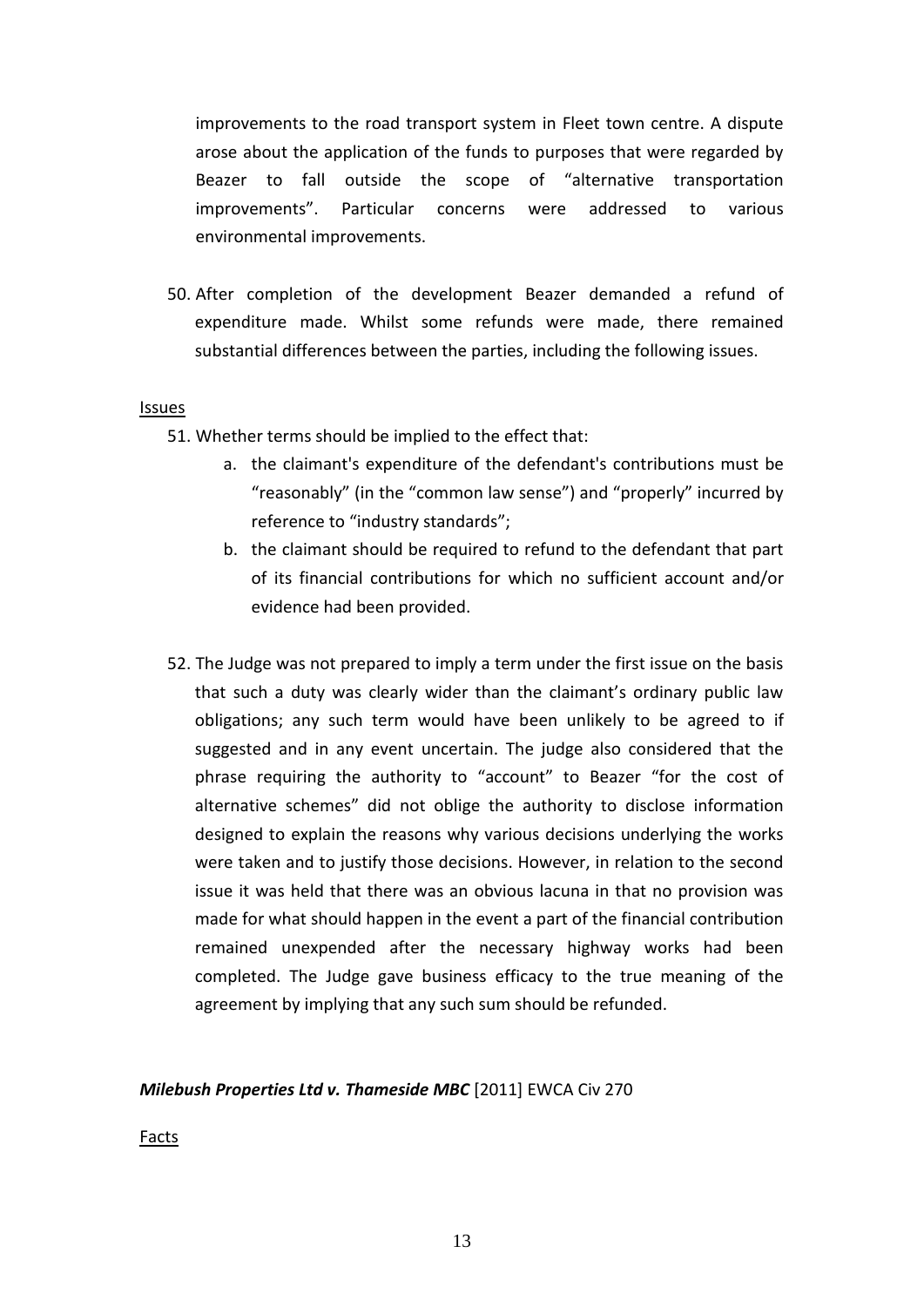improvements to the road transport system in Fleet town centre. A dispute arose about the application of the funds to purposes that were regarded by Beazer to fall outside the scope of "alternative transportation improvements". Particular concerns were addressed to various environmental improvements.

50. After completion of the development Beazer demanded a refund of expenditure made. Whilst some refunds were made, there remained substantial differences between the parties, including the following issues.

#### Issues

- 51. Whether terms should be implied to the effect that:
	- a. the claimant's expenditure of the defendant's contributions must be "reasonably" (in the "common law sense") and "properly" incurred by reference to "industry standards";
	- b. the claimant should be required to refund to the defendant that part of its financial contributions for which no sufficient account and/or evidence had been provided.
- 52. The Judge was not prepared to imply a term under the first issue on the basis that such a duty was clearly wider than the claimant's ordinary public law obligations; any such term would have been unlikely to be agreed to if suggested and in any event uncertain. The judge also considered that the phrase requiring the authority to "account" to Beazer "for the cost of alternative schemes" did not oblige the authority to disclose information designed to explain the reasons why various decisions underlying the works were taken and to justify those decisions. However, in relation to the second issue it was held that there was an obvious lacuna in that no provision was made for what should happen in the event a part of the financial contribution remained unexpended after the necessary highway works had been completed. The Judge gave business efficacy to the true meaning of the agreement by implying that any such sum should be refunded.

## *Milebush Properties Ltd v. Thameside MBC* [2011] EWCA Civ 270

Facts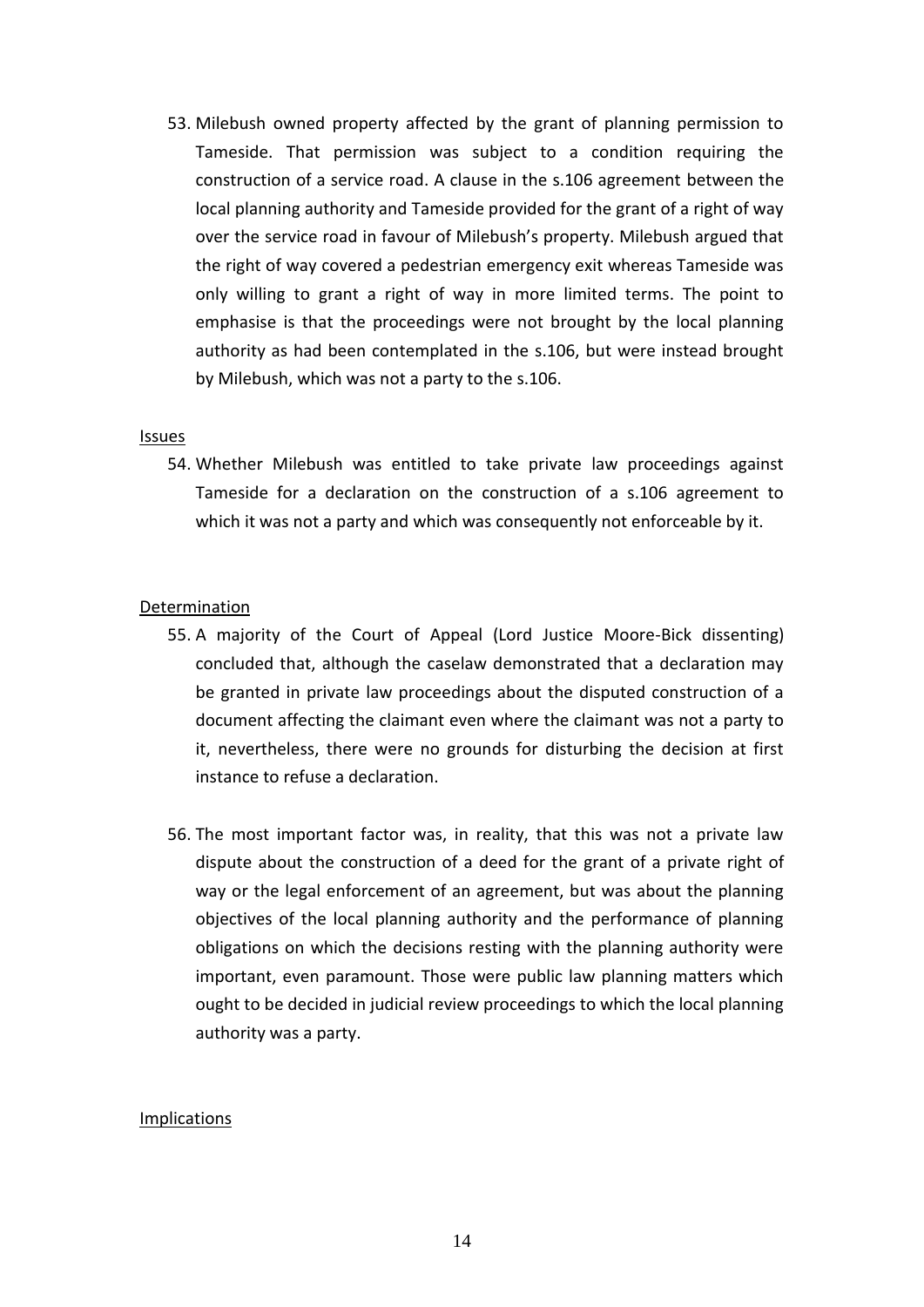53. Milebush owned property affected by the grant of planning permission to Tameside. That permission was subject to a condition requiring the construction of a service road. A clause in the s.106 agreement between the local planning authority and Tameside provided for the grant of a right of way over the service road in favour of Milebush's property. Milebush argued that the right of way covered a pedestrian emergency exit whereas Tameside was only willing to grant a right of way in more limited terms. The point to emphasise is that the proceedings were not brought by the local planning authority as had been contemplated in the s.106, but were instead brought by Milebush, which was not a party to the s.106.

#### Issues

54. Whether Milebush was entitled to take private law proceedings against Tameside for a declaration on the construction of a s.106 agreement to which it was not a party and which was consequently not enforceable by it.

#### Determination

- 55. A majority of the Court of Appeal (Lord Justice Moore-Bick dissenting) concluded that, although the caselaw demonstrated that a declaration may be granted in private law proceedings about the disputed construction of a document affecting the claimant even where the claimant was not a party to it, nevertheless, there were no grounds for disturbing the decision at first instance to refuse a declaration.
- 56. The most important factor was, in reality, that this was not a private law dispute about the construction of a deed for the grant of a private right of way or the legal enforcement of an agreement, but was about the planning objectives of the local planning authority and the performance of planning obligations on which the decisions resting with the planning authority were important, even paramount. Those were public law planning matters which ought to be decided in judicial review proceedings to which the local planning authority was a party.

#### Implications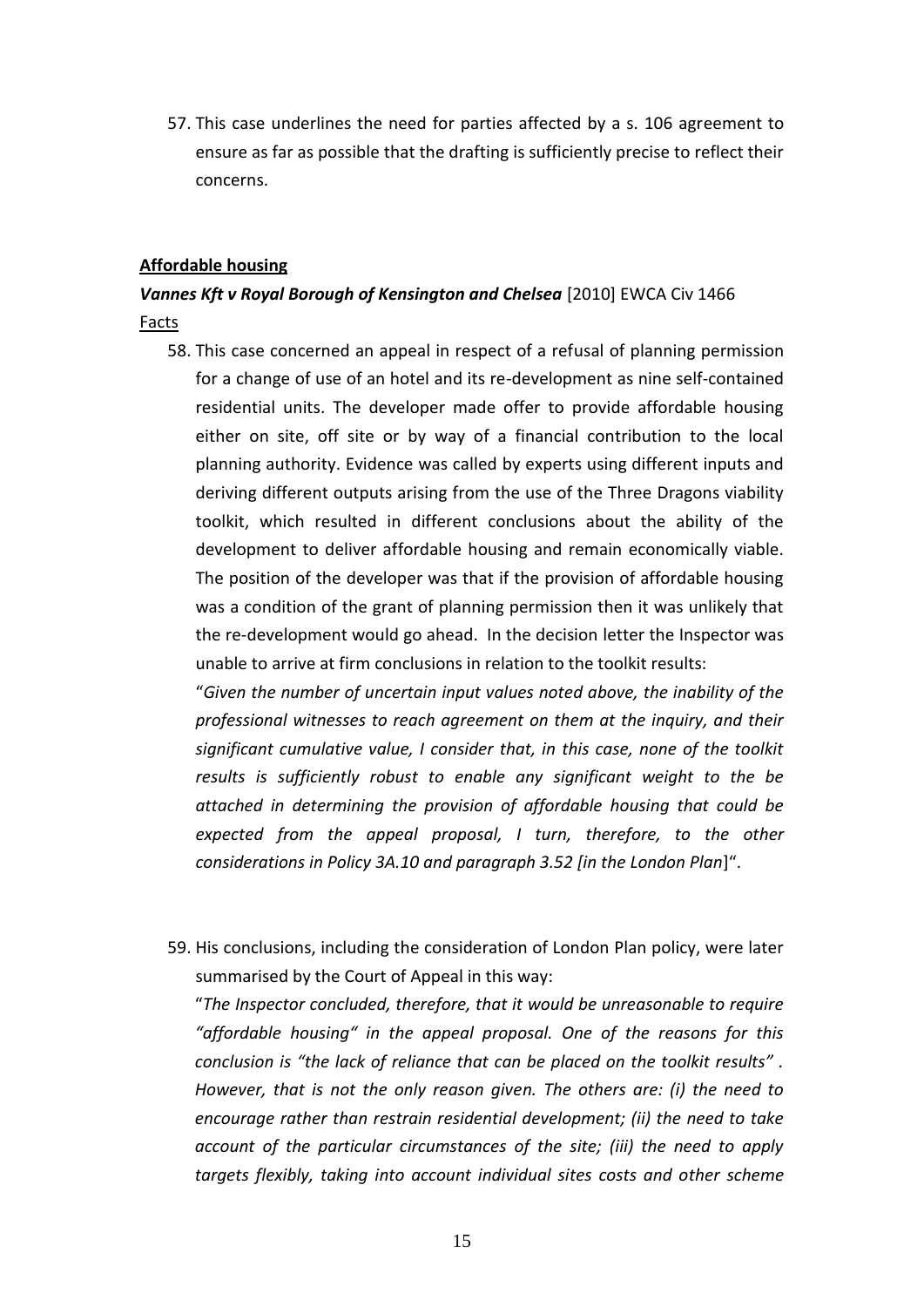57. This case underlines the need for parties affected by a s. 106 agreement to ensure as far as possible that the drafting is sufficiently precise to reflect their concerns.

### **Affordable housing**

## *Vannes Kft v Royal Borough of Kensington and Chelsea* [2010] EWCA Civ 1466 **Facts**

58. This case concerned an appeal in respect of a refusal of planning permission for a change of use of an hotel and its re-development as nine self-contained residential units. The developer made offer to provide affordable housing either on site, off site or by way of a financial contribution to the local planning authority. Evidence was called by experts using different inputs and deriving different outputs arising from the use of the Three Dragons viability toolkit, which resulted in different conclusions about the ability of the development to deliver affordable housing and remain economically viable. The position of the developer was that if the provision of affordable housing was a condition of the grant of planning permission then it was unlikely that the re-development would go ahead. In the decision letter the Inspector was unable to arrive at firm conclusions in relation to the toolkit results:

"*Given the number of uncertain input values noted above, the inability of the professional witnesses to reach agreement on them at the inquiry, and their significant cumulative value, I consider that, in this case, none of the toolkit results is sufficiently robust to enable any significant weight to the be attached in determining the provision of affordable housing that could be expected from the appeal proposal, I turn, therefore, to the other considerations in Policy 3A.10 and paragraph 3.52 [in the London Plan*]".

59. His conclusions, including the consideration of London Plan policy, were later summarised by the Court of Appeal in this way:

"*The Inspector concluded, therefore, that it would be unreasonable to require "affordable housing" in the appeal proposal. One of the reasons for this conclusion is "the lack of reliance that can be placed on the toolkit results" . However, that is not the only reason given. The others are: (i) the need to encourage rather than restrain residential development; (ii) the need to take account of the particular circumstances of the site; (iii) the need to apply targets flexibly, taking into account individual sites costs and other scheme*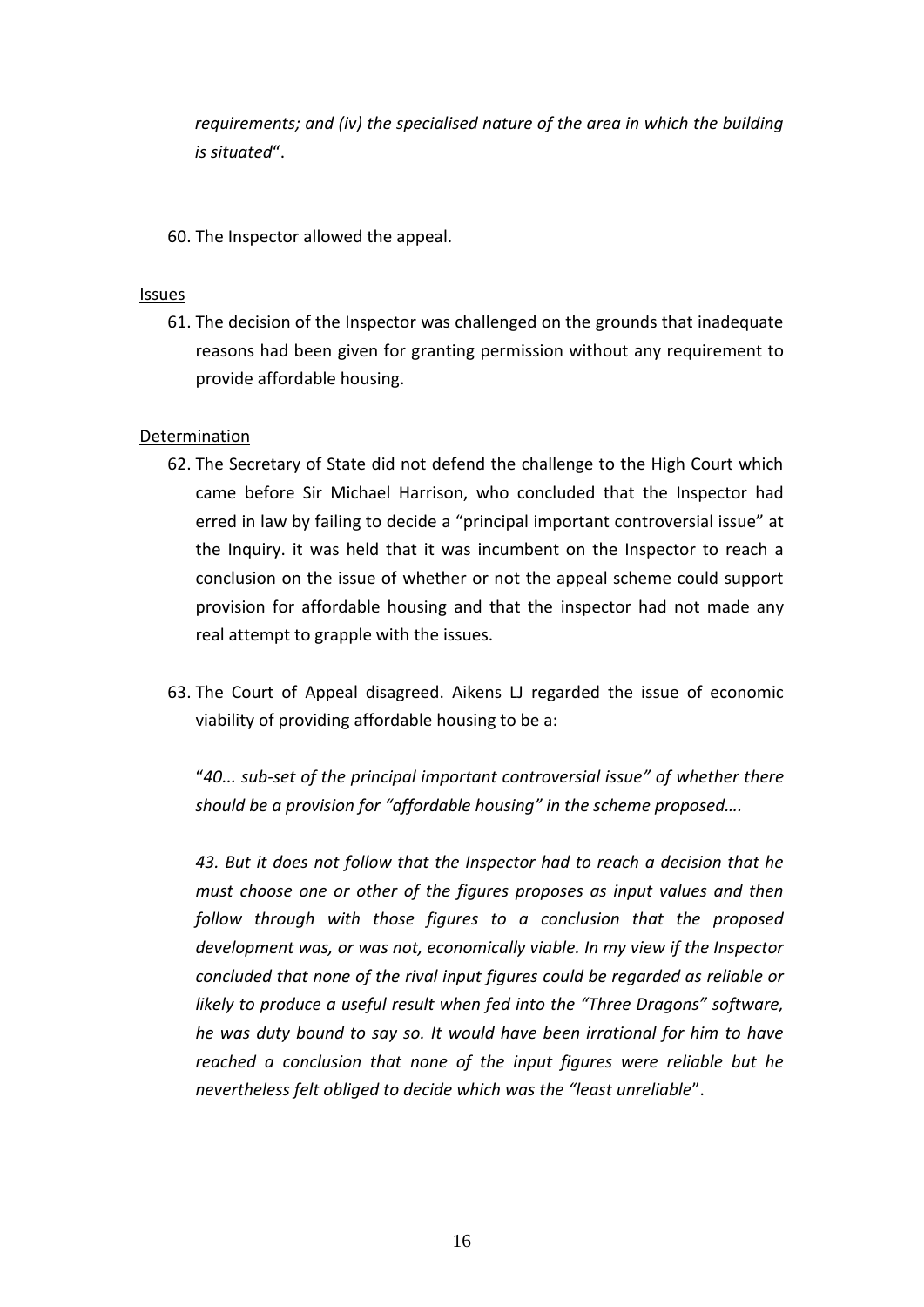*requirements; and (iv) the specialised nature of the area in which the building is situated*".

60. The Inspector allowed the appeal.

## Issues

61. The decision of the Inspector was challenged on the grounds that inadequate reasons had been given for granting permission without any requirement to provide affordable housing.

## Determination

- 62. The Secretary of State did not defend the challenge to the High Court which came before Sir Michael Harrison, who concluded that the Inspector had erred in law by failing to decide a "principal important controversial issue" at the Inquiry. it was held that it was incumbent on the Inspector to reach a conclusion on the issue of whether or not the appeal scheme could support provision for affordable housing and that the inspector had not made any real attempt to grapple with the issues.
- 63. The Court of Appeal disagreed. Aikens LJ regarded the issue of economic viability of providing affordable housing to be a:

"*40... sub-set of the principal important controversial issue" of whether there should be a provision for "affordable housing" in the scheme proposed….* 

*43. But it does not follow that the Inspector had to reach a decision that he must choose one or other of the figures proposes as input values and then follow through with those figures to a conclusion that the proposed development was, or was not, economically viable. In my view if the Inspector concluded that none of the rival input figures could be regarded as reliable or likely to produce a useful result when fed into the "Three Dragons" software, he was duty bound to say so. It would have been irrational for him to have reached a conclusion that none of the input figures were reliable but he nevertheless felt obliged to decide which was the "least unreliable*".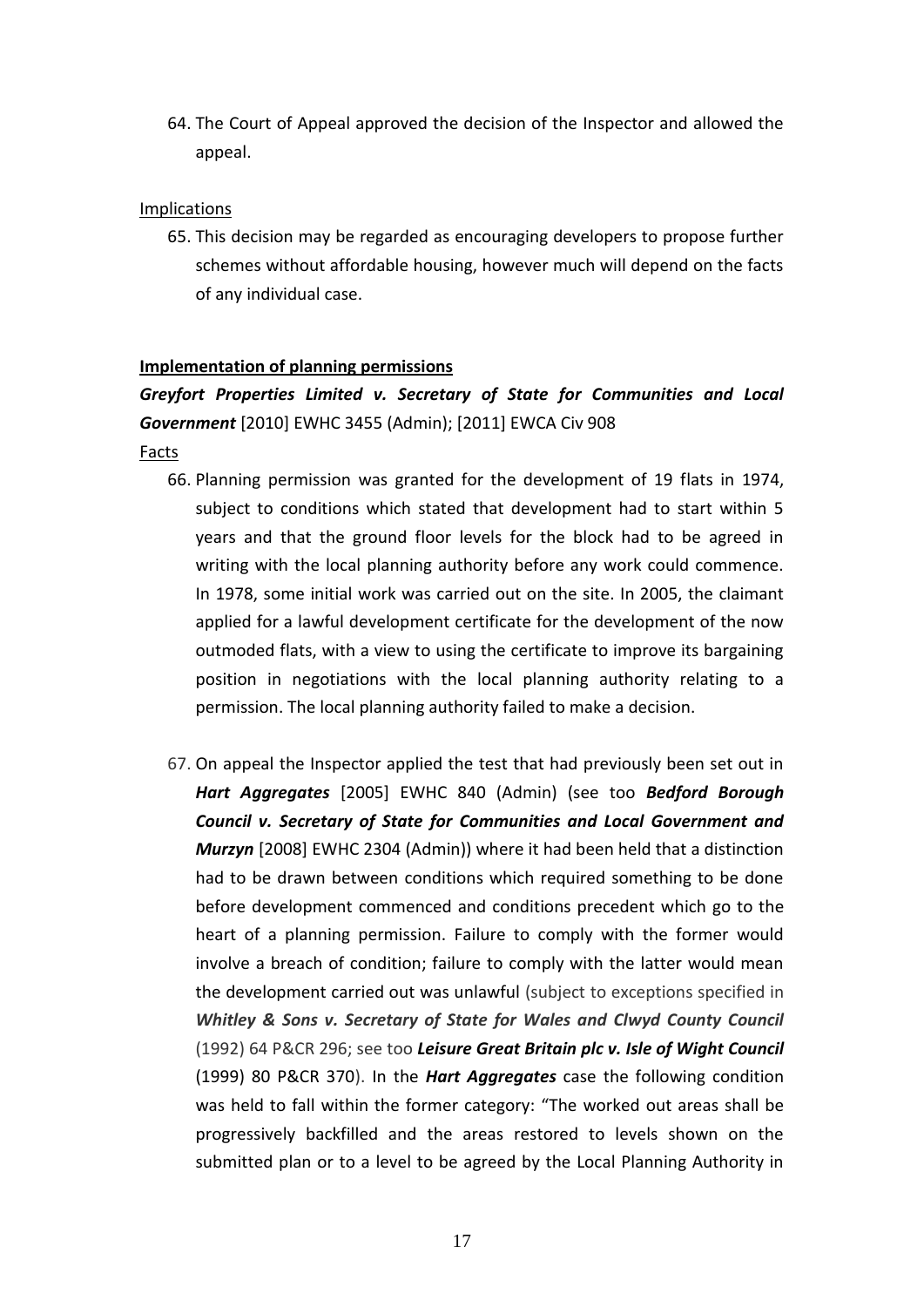64. The Court of Appeal approved the decision of the Inspector and allowed the appeal.

## Implications

65. This decision may be regarded as encouraging developers to propose further schemes without affordable housing, however much will depend on the facts of any individual case.

## **Implementation of planning permissions**

## *Greyfort Properties Limited v. Secretary of State for Communities and Local Government* [2010] EWHC 3455 (Admin); [2011] EWCA Civ 908

Facts

- 66. Planning permission was granted for the development of 19 flats in 1974, subject to conditions which stated that development had to start within 5 years and that the ground floor levels for the block had to be agreed in writing with the local planning authority before any work could commence. In 1978, some initial work was carried out on the site. In 2005, the claimant applied for a lawful development certificate for the development of the now outmoded flats, with a view to using the certificate to improve its bargaining position in negotiations with the local planning authority relating to a permission. The local planning authority failed to make a decision.
- 67. On appeal the Inspector applied the test that had previously been set out in *Hart Aggregates* [2005] EWHC 840 (Admin) (see too *Bedford Borough Council v. Secretary of State for Communities and Local Government and Murzyn* [2008] EWHC 2304 (Admin)) where it had been held that a distinction had to be drawn between conditions which required something to be done before development commenced and conditions precedent which go to the heart of a planning permission. Failure to comply with the former would involve a breach of condition; failure to comply with the latter would mean the development carried out was unlawful (subject to exceptions specified in *Whitley & Sons v. Secretary of State for Wales and Clwyd County Council* (1992) 64 P&CR 296; see too *Leisure Great Britain plc v. Isle of Wight Council* (1999) 80 P&CR 370). In the *Hart Aggregates* case the following condition was held to fall within the former category: "The worked out areas shall be progressively backfilled and the areas restored to levels shown on the submitted plan or to a level to be agreed by the Local Planning Authority in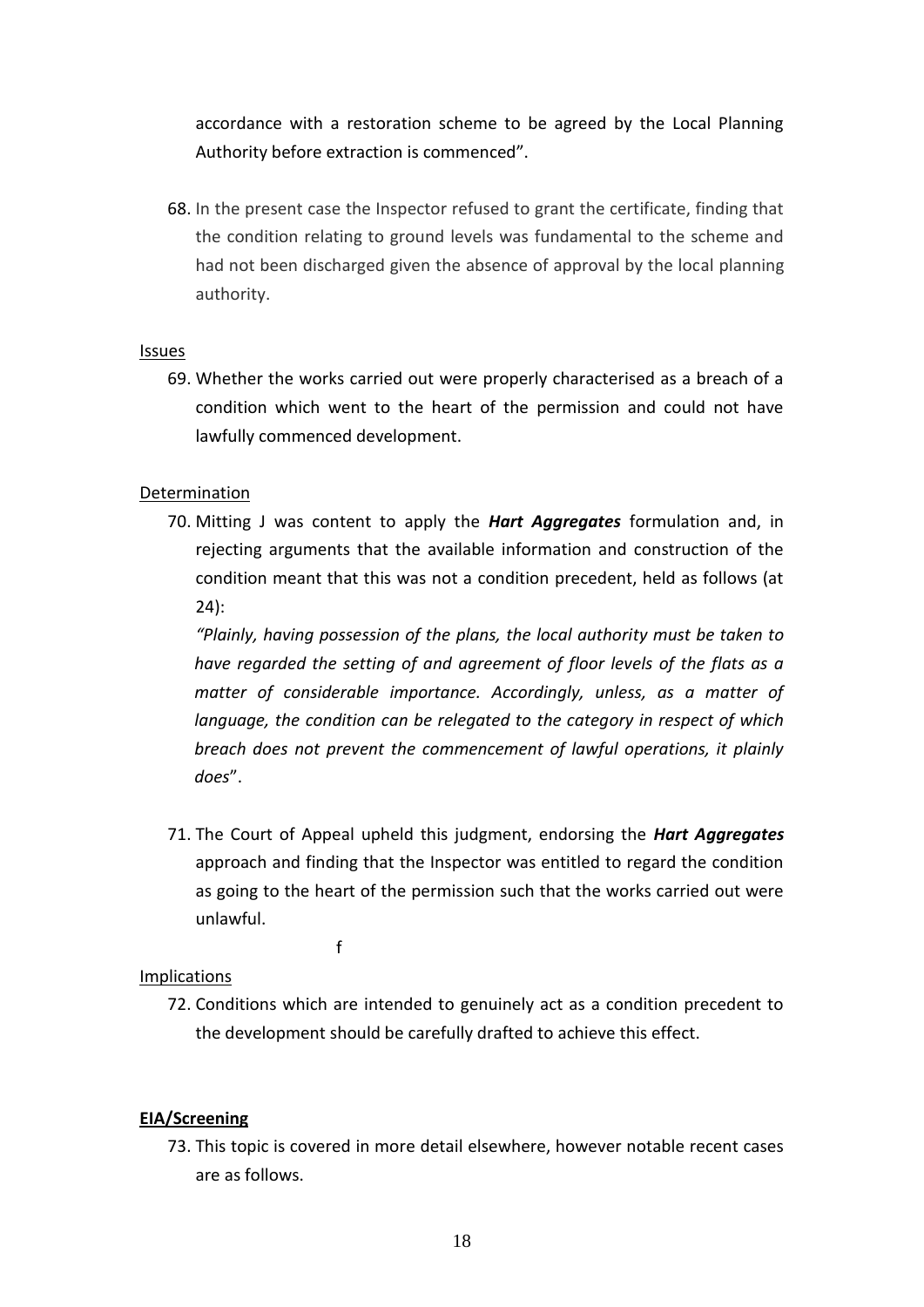accordance with a restoration scheme to be agreed by the Local Planning Authority before extraction is commenced".

68. In the present case the Inspector refused to grant the certificate, finding that the condition relating to ground levels was fundamental to the scheme and had not been discharged given the absence of approval by the local planning authority.

## Issues

69. Whether the works carried out were properly characterised as a breach of a condition which went to the heart of the permission and could not have lawfully commenced development.

## Determination

70. Mitting J was content to apply the *Hart Aggregates* formulation and, in rejecting arguments that the available information and construction of the condition meant that this was not a condition precedent, held as follows (at 24):

*"Plainly, having possession of the plans, the local authority must be taken to have regarded the setting of and agreement of floor levels of the flats as a matter of considerable importance. Accordingly, unless, as a matter of language, the condition can be relegated to the category in respect of which breach does not prevent the commencement of lawful operations, it plainly does*".

71. The Court of Appeal upheld this judgment, endorsing the *Hart Aggregates* approach and finding that the Inspector was entitled to regard the condition as going to the heart of the permission such that the works carried out were unlawful.

f

## Implications

72. Conditions which are intended to genuinely act as a condition precedent to the development should be carefully drafted to achieve this effect.

## **EIA/Screening**

73. This topic is covered in more detail elsewhere, however notable recent cases are as follows.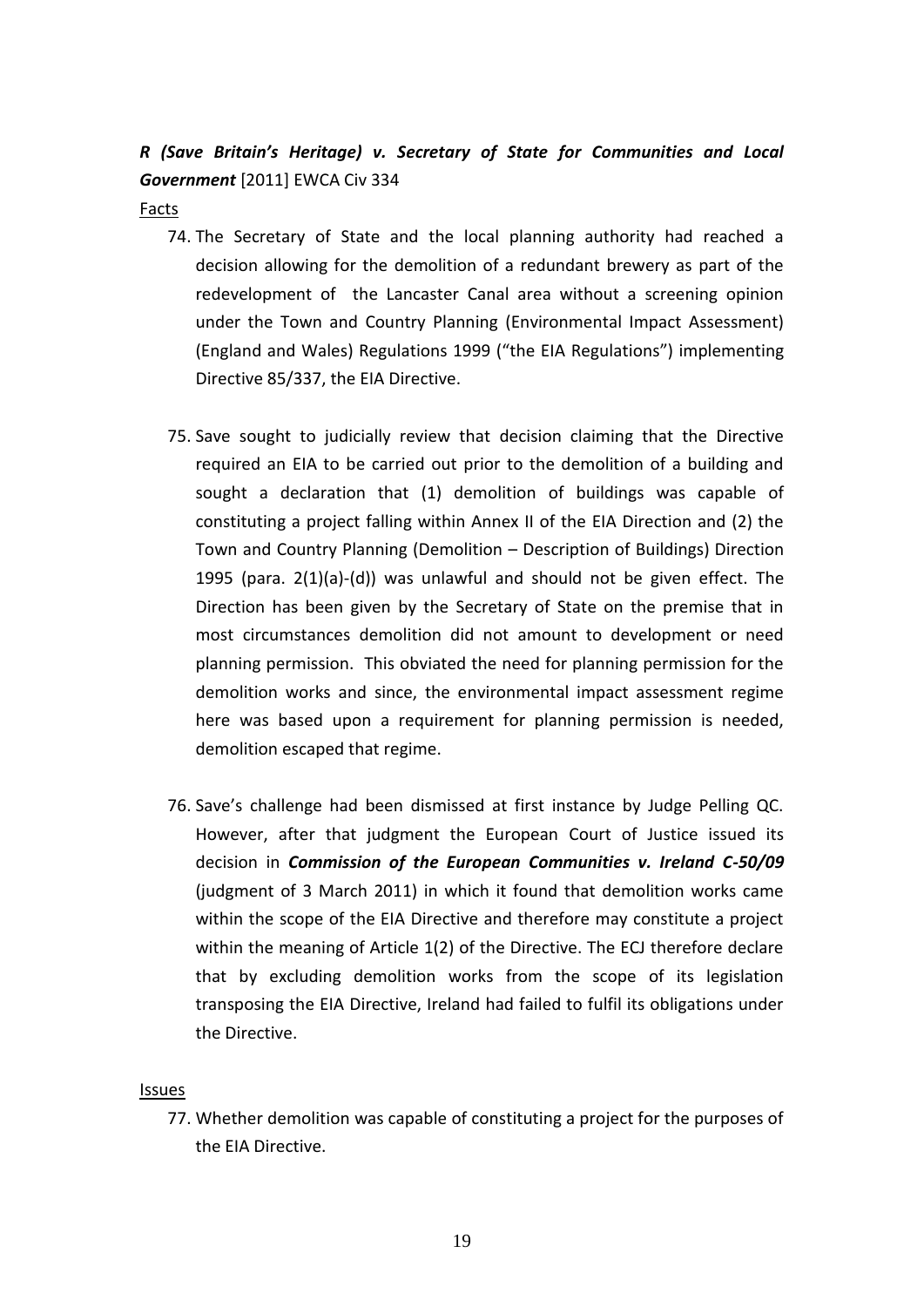## *R (Save Britain's Heritage) v. Secretary of State for Communities and Local Government* [2011] EWCA Civ 334

#### Facts

- 74. The Secretary of State and the local planning authority had reached a decision allowing for the demolition of a redundant brewery as part of the redevelopment of the Lancaster Canal area without a screening opinion under the Town and Country Planning (Environmental Impact Assessment) (England and Wales) Regulations 1999 ("the EIA Regulations") implementing Directive 85/337, the EIA Directive.
- 75. Save sought to judicially review that decision claiming that the Directive required an EIA to be carried out prior to the demolition of a building and sought a declaration that (1) demolition of buildings was capable of constituting a project falling within Annex II of the EIA Direction and (2) the Town and Country Planning (Demolition – Description of Buildings) Direction 1995 (para. 2(1)(a)-(d)) was unlawful and should not be given effect. The Direction has been given by the Secretary of State on the premise that in most circumstances demolition did not amount to development or need planning permission. This obviated the need for planning permission for the demolition works and since, the environmental impact assessment regime here was based upon a requirement for planning permission is needed, demolition escaped that regime.
- 76. Save's challenge had been dismissed at first instance by Judge Pelling QC. However, after that judgment the European Court of Justice issued its decision in *Commission of the European Communities v. Ireland C-50/09*  (judgment of 3 March 2011) in which it found that demolition works came within the scope of the EIA Directive and therefore may constitute a project within the meaning of Article 1(2) of the Directive. The ECJ therefore declare that by excluding demolition works from the scope of its legislation transposing the EIA Directive, Ireland had failed to fulfil its obligations under the Directive.

#### **Issues**

77. Whether demolition was capable of constituting a project for the purposes of the EIA Directive.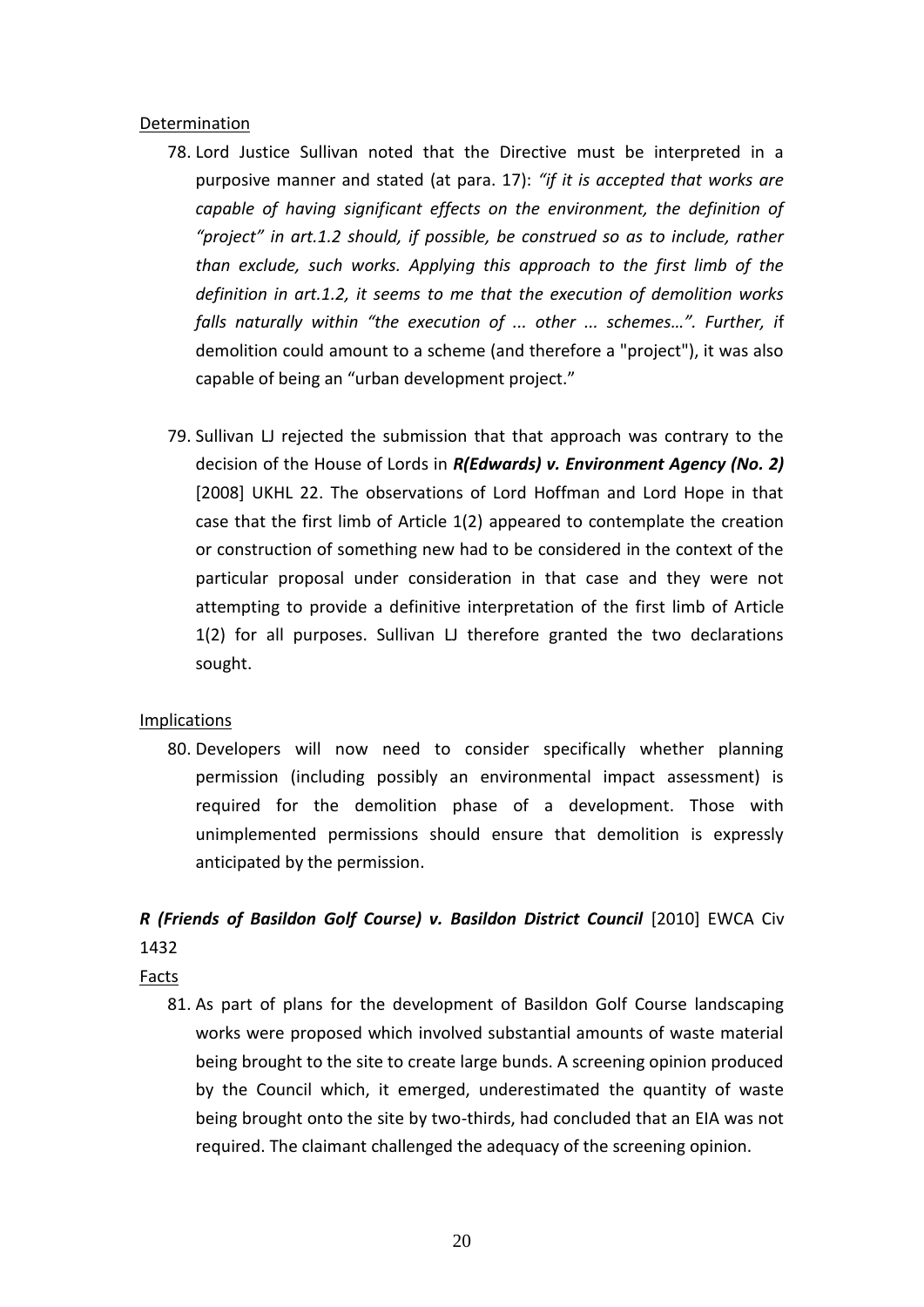## Determination

- 78. Lord Justice Sullivan noted that the Directive must be interpreted in a purposive manner and stated (at para. 17): *"if it is accepted that works are capable of having significant effects on the environment, the definition of "project" in art.1.2 should, if possible, be construed so as to include, rather than exclude, such works. Applying this approach to the first limb of the definition in art.1.2, it seems to me that the execution of demolition works falls naturally within "the execution of ... other ... schemes…". Further, i*f demolition could amount to a scheme (and therefore a "project"), it was also capable of being an "urban development project."
- 79. Sullivan LJ rejected the submission that that approach was contrary to the decision of the House of Lords in *R(Edwards) v. Environment Agency (No. 2)*  [2008] UKHL 22. The observations of Lord Hoffman and Lord Hope in that case that the first limb of Article 1(2) appeared to contemplate the creation or construction of something new had to be considered in the context of the particular proposal under consideration in that case and they were not attempting to provide a definitive interpretation of the first limb of Article 1(2) for all purposes. Sullivan LJ therefore granted the two declarations sought.

## **Implications**

80. Developers will now need to consider specifically whether planning permission (including possibly an environmental impact assessment) is required for the demolition phase of a development. Those with unimplemented permissions should ensure that demolition is expressly anticipated by the permission.

## *R (Friends of Basildon Golf Course) v. Basildon District Council* [2010] EWCA Civ 1432

Facts

81. As part of plans for the development of Basildon Golf Course landscaping works were proposed which involved substantial amounts of waste material being brought to the site to create large bunds. A screening opinion produced by the Council which, it emerged, underestimated the quantity of waste being brought onto the site by two-thirds, had concluded that an EIA was not required. The claimant challenged the adequacy of the screening opinion.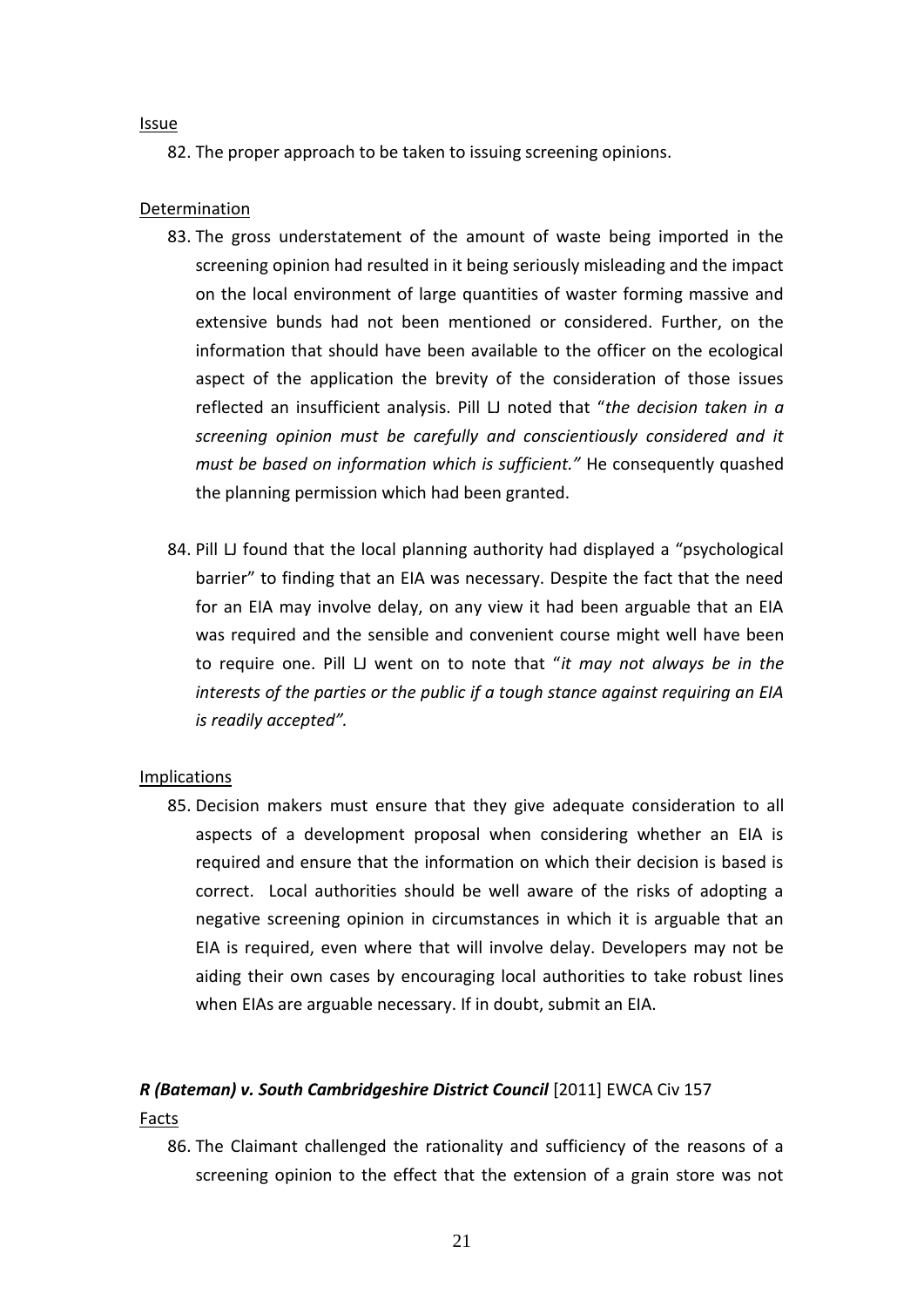#### Issue

82. The proper approach to be taken to issuing screening opinions.

### Determination

- 83. The gross understatement of the amount of waste being imported in the screening opinion had resulted in it being seriously misleading and the impact on the local environment of large quantities of waster forming massive and extensive bunds had not been mentioned or considered. Further, on the information that should have been available to the officer on the ecological aspect of the application the brevity of the consideration of those issues reflected an insufficient analysis. Pill LJ noted that "*the decision taken in a screening opinion must be carefully and conscientiously considered and it must be based on information which is sufficient."* He consequently quashed the planning permission which had been granted.
- 84. Pill LJ found that the local planning authority had displayed a "psychological barrier" to finding that an EIA was necessary. Despite the fact that the need for an EIA may involve delay, on any view it had been arguable that an EIA was required and the sensible and convenient course might well have been to require one. Pill LJ went on to note that "*it may not always be in the interests of the parties or the public if a tough stance against requiring an EIA is readily accepted".*

#### Implications

85. Decision makers must ensure that they give adequate consideration to all aspects of a development proposal when considering whether an EIA is required and ensure that the information on which their decision is based is correct. Local authorities should be well aware of the risks of adopting a negative screening opinion in circumstances in which it is arguable that an EIA is required, even where that will involve delay. Developers may not be aiding their own cases by encouraging local authorities to take robust lines when EIAs are arguable necessary. If in doubt, submit an EIA.

## *R (Bateman) v. South Cambridgeshire District Council* [2011] EWCA Civ 157

#### Facts

86. The Claimant challenged the rationality and sufficiency of the reasons of a screening opinion to the effect that the extension of a grain store was not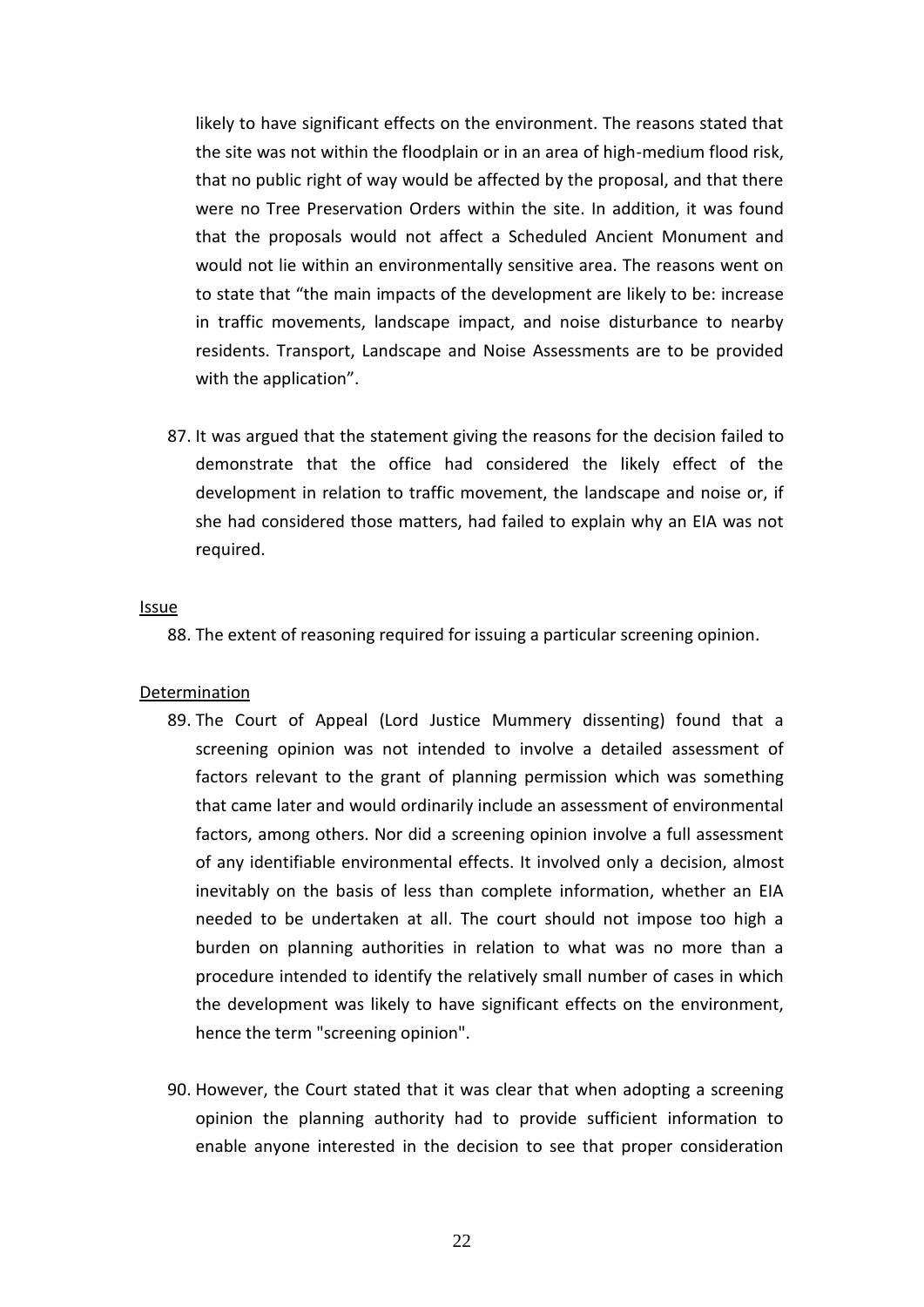likely to have significant effects on the environment. The reasons stated that the site was not within the floodplain or in an area of high-medium flood risk, that no public right of way would be affected by the proposal, and that there were no Tree Preservation Orders within the site. In addition, it was found that the proposals would not affect a Scheduled Ancient Monument and would not lie within an environmentally sensitive area. The reasons went on to state that "the main impacts of the development are likely to be: increase in traffic movements, landscape impact, and noise disturbance to nearby residents. Transport, Landscape and Noise Assessments are to be provided with the application".

87. It was argued that the statement giving the reasons for the decision failed to demonstrate that the office had considered the likely effect of the development in relation to traffic movement, the landscape and noise or, if she had considered those matters, had failed to explain why an EIA was not required.

#### Issue

88. The extent of reasoning required for issuing a particular screening opinion.

#### Determination

- 89. The Court of Appeal (Lord Justice Mummery dissenting) found that a screening opinion was not intended to involve a detailed assessment of factors relevant to the grant of planning permission which was something that came later and would ordinarily include an assessment of environmental factors, among others. Nor did a screening opinion involve a full assessment of any identifiable environmental effects. It involved only a decision, almost inevitably on the basis of less than complete information, whether an EIA needed to be undertaken at all. The court should not impose too high a burden on planning authorities in relation to what was no more than a procedure intended to identify the relatively small number of cases in which the development was likely to have significant effects on the environment, hence the term "screening opinion".
- 90. However, the Court stated that it was clear that when adopting a screening opinion the planning authority had to provide sufficient information to enable anyone interested in the decision to see that proper consideration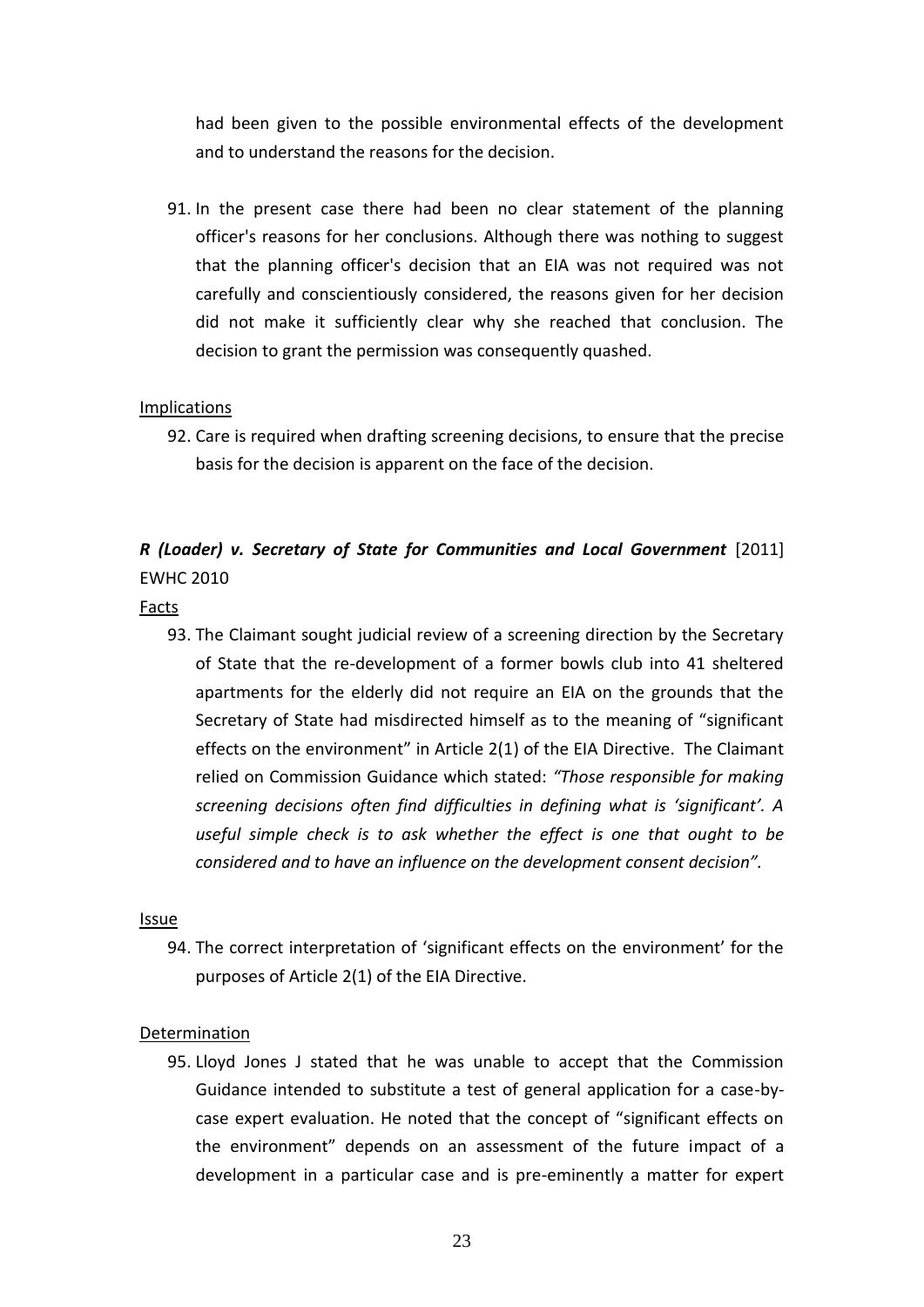had been given to the possible environmental effects of the development and to understand the reasons for the decision.

91. In the present case there had been no clear statement of the planning officer's reasons for her conclusions. Although there was nothing to suggest that the planning officer's decision that an EIA was not required was not carefully and conscientiously considered, the reasons given for her decision did not make it sufficiently clear why she reached that conclusion. The decision to grant the permission was consequently quashed.

## **Implications**

92. Care is required when drafting screening decisions, to ensure that the precise basis for the decision is apparent on the face of the decision.

## *R (Loader) v. Secretary of State for Communities and Local Government* [2011] EWHC 2010

#### Facts

93. The Claimant sought judicial review of a screening direction by the Secretary of State that the re-development of a former bowls club into 41 sheltered apartments for the elderly did not require an EIA on the grounds that the Secretary of State had misdirected himself as to the meaning of "significant effects on the environment" in Article 2(1) of the EIA Directive. The Claimant relied on Commission Guidance which stated: *"Those responsible for making screening decisions often find difficulties in defining what is 'significant'. A useful simple check is to ask whether the effect is one that ought to be considered and to have an influence on the development consent decision".*

#### **Issue**

94. The correct interpretation of 'significant effects on the environment' for the purposes of Article 2(1) of the EIA Directive.

#### Determination

95. Lloyd Jones J stated that he was unable to accept that the Commission Guidance intended to substitute a test of general application for a case-bycase expert evaluation. He noted that the concept of "significant effects on the environment" depends on an assessment of the future impact of a development in a particular case and is pre-eminently a matter for expert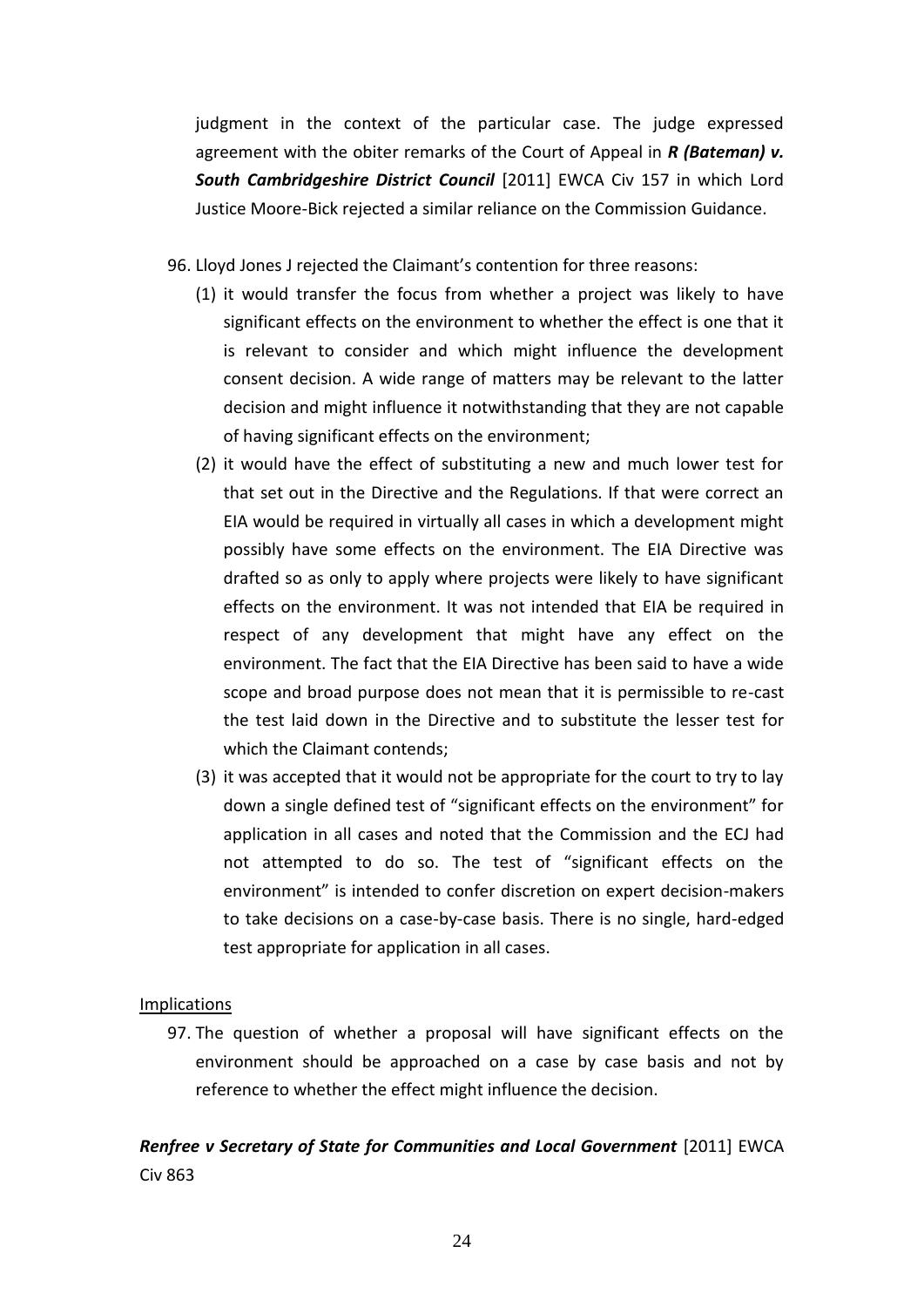judgment in the context of the particular case. The judge expressed agreement with the obiter remarks of the Court of Appeal in *R (Bateman) v. South Cambridgeshire District Council* [2011] EWCA Civ 157 in which Lord Justice Moore-Bick rejected a similar reliance on the Commission Guidance.

- 96. Lloyd Jones J rejected the Claimant's contention for three reasons:
	- (1) it would transfer the focus from whether a project was likely to have significant effects on the environment to whether the effect is one that it is relevant to consider and which might influence the development consent decision. A wide range of matters may be relevant to the latter decision and might influence it notwithstanding that they are not capable of having significant effects on the environment;
	- (2) it would have the effect of substituting a new and much lower test for that set out in the Directive and the Regulations. If that were correct an EIA would be required in virtually all cases in which a development might possibly have some effects on the environment. The EIA Directive was drafted so as only to apply where projects were likely to have significant effects on the environment. It was not intended that EIA be required in respect of any development that might have any effect on the environment. The fact that the EIA Directive has been said to have a wide scope and broad purpose does not mean that it is permissible to re-cast the test laid down in the Directive and to substitute the lesser test for which the Claimant contends;
	- (3) it was accepted that it would not be appropriate for the court to try to lay down a single defined test of "significant effects on the environment" for application in all cases and noted that the Commission and the ECJ had not attempted to do so. The test of "significant effects on the environment" is intended to confer discretion on expert decision-makers to take decisions on a case-by-case basis. There is no single, hard-edged test appropriate for application in all cases.

## Implications

97. The question of whether a proposal will have significant effects on the environment should be approached on a case by case basis and not by reference to whether the effect might influence the decision.

## *Renfree v Secretary of State for Communities and Local Government* [2011] EWCA Civ 863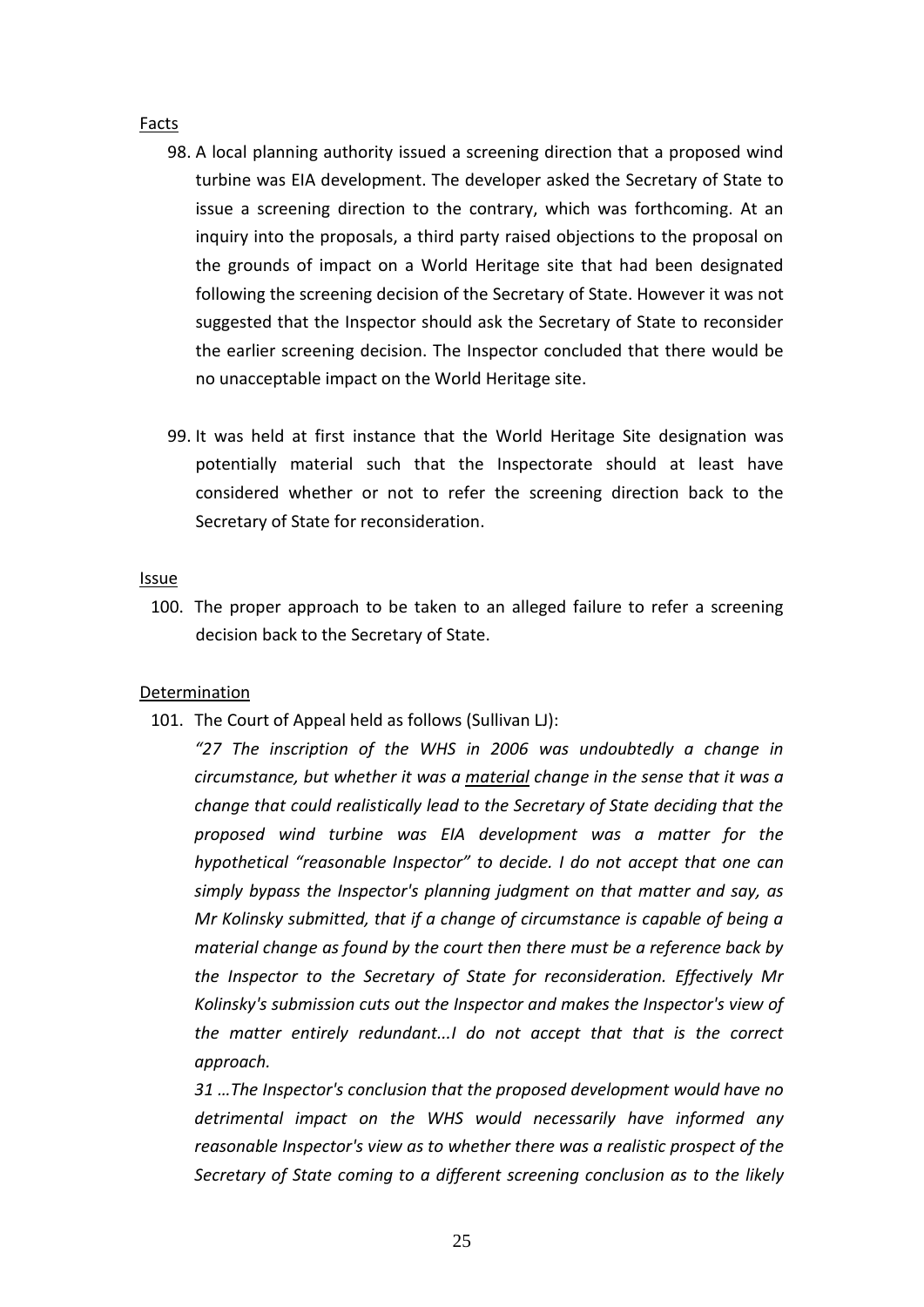#### Facts

- 98. A local planning authority issued a screening direction that a proposed wind turbine was EIA development. The developer asked the Secretary of State to issue a screening direction to the contrary, which was forthcoming. At an inquiry into the proposals, a third party raised objections to the proposal on the grounds of impact on a World Heritage site that had been designated following the screening decision of the Secretary of State. However it was not suggested that the Inspector should ask the Secretary of State to reconsider the earlier screening decision. The Inspector concluded that there would be no unacceptable impact on the World Heritage site.
- 99. It was held at first instance that the World Heritage Site designation was potentially material such that the Inspectorate should at least have considered whether or not to refer the screening direction back to the Secretary of State for reconsideration.

#### Issue

100. The proper approach to be taken to an alleged failure to refer a screening decision back to the Secretary of State.

#### Determination

101. The Court of Appeal held as follows (Sullivan LJ):

*"27 The inscription of the WHS in 2006 was undoubtedly a change in circumstance, but whether it was a material change in the sense that it was a change that could realistically lead to the Secretary of State deciding that the proposed wind turbine was EIA development was a matter for the hypothetical "reasonable Inspector" to decide. I do not accept that one can simply bypass the Inspector's planning judgment on that matter and say, as Mr Kolinsky submitted, that if a change of circumstance is capable of being a material change as found by the court then there must be a reference back by the Inspector to the Secretary of State for reconsideration. Effectively Mr Kolinsky's submission cuts out the Inspector and makes the Inspector's view of the matter entirely redundant...I do not accept that that is the correct approach.*

*31 …The Inspector's conclusion that the proposed development would have no detrimental impact on the WHS would necessarily have informed any reasonable Inspector's view as to whether there was a realistic prospect of the Secretary of State coming to a different screening conclusion as to the likely*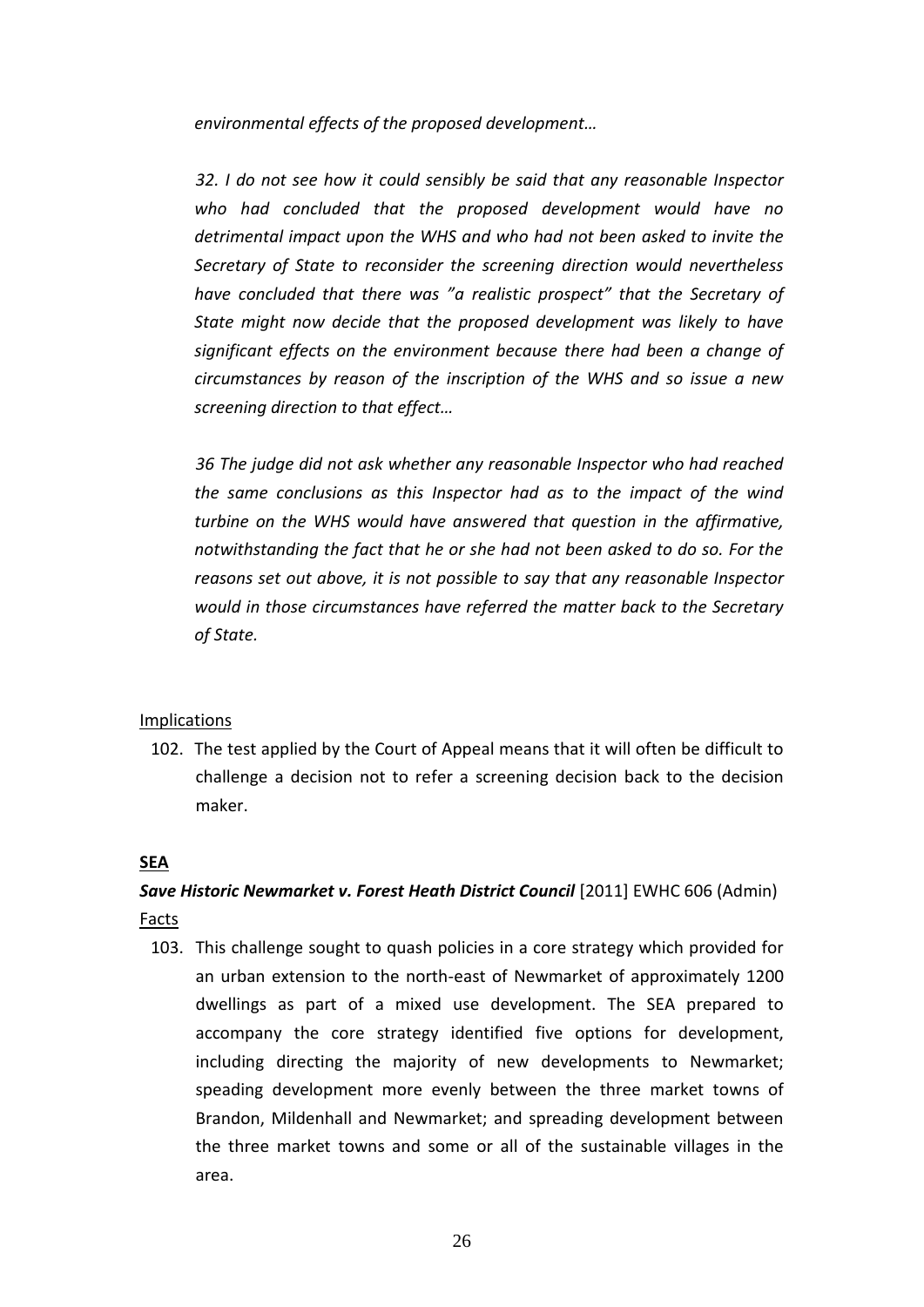*environmental effects of the proposed development…*

*32. I do not see how it could sensibly be said that any reasonable Inspector who had concluded that the proposed development would have no detrimental impact upon the WHS and who had not been asked to invite the Secretary of State to reconsider the screening direction would nevertheless have concluded that there was "a realistic prospect" that the Secretary of State might now decide that the proposed development was likely to have significant effects on the environment because there had been a change of circumstances by reason of the inscription of the WHS and so issue a new screening direction to that effect…*

*36 The judge did not ask whether any reasonable Inspector who had reached the same conclusions as this Inspector had as to the impact of the wind turbine on the WHS would have answered that question in the affirmative, notwithstanding the fact that he or she had not been asked to do so. For the reasons set out above, it is not possible to say that any reasonable Inspector would in those circumstances have referred the matter back to the Secretary of State.*

#### **Implications**

102. The test applied by the Court of Appeal means that it will often be difficult to challenge a decision not to refer a screening decision back to the decision maker.

#### **SEA**

## *Save Historic Newmarket v. Forest Heath District Council* [2011] EWHC 606 (Admin) Facts

103. This challenge sought to quash policies in a core strategy which provided for an urban extension to the north-east of Newmarket of approximately 1200 dwellings as part of a mixed use development. The SEA prepared to accompany the core strategy identified five options for development, including directing the majority of new developments to Newmarket; speading development more evenly between the three market towns of Brandon, Mildenhall and Newmarket; and spreading development between the three market towns and some or all of the sustainable villages in the area.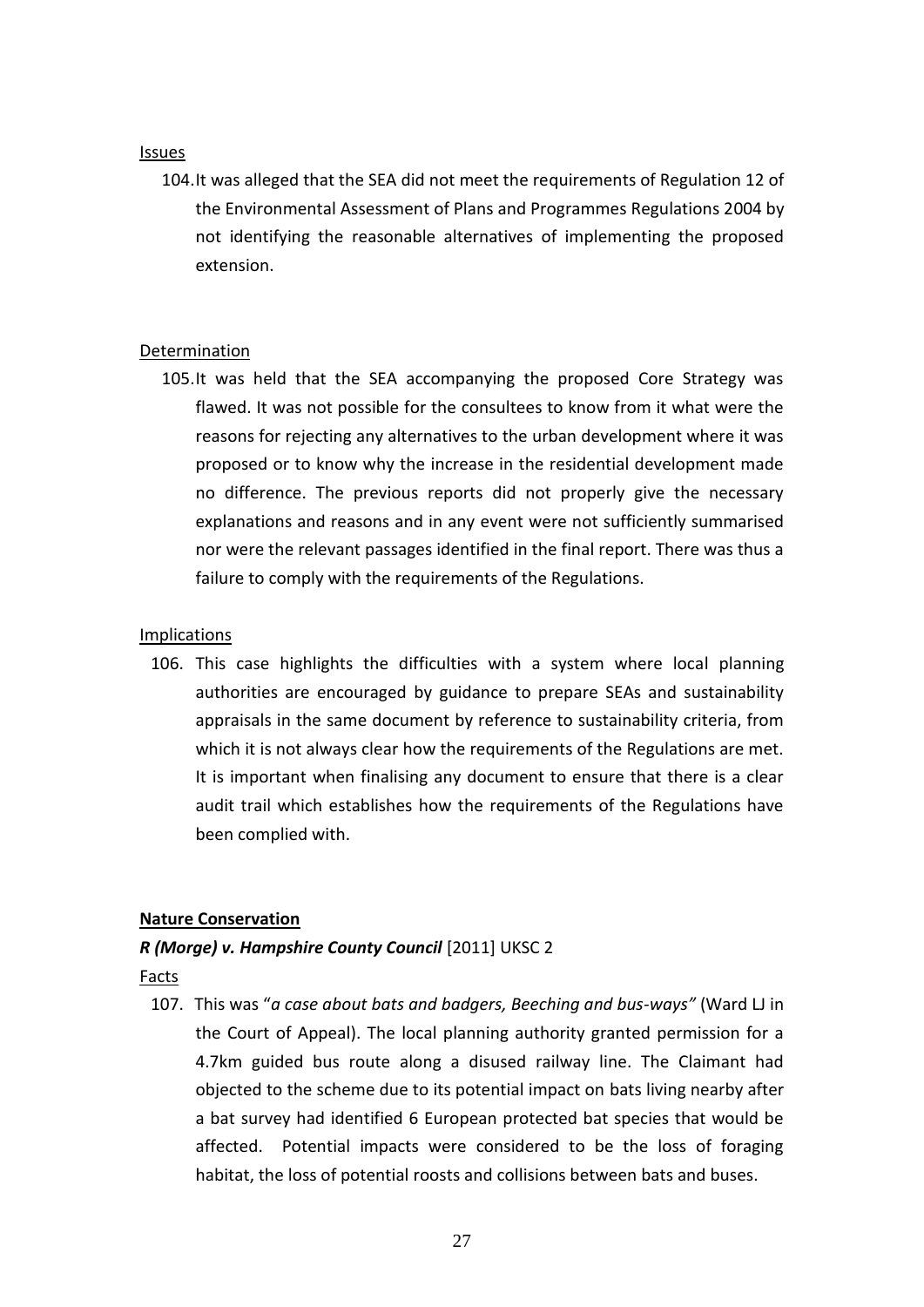#### Issues

104.It was alleged that the SEA did not meet the requirements of Regulation 12 of the [Environmental Assessment of Plans and Programmes Regulations 2004](http://login.westlaw.co.uk/maf/wluk/app/document?src=doc&linktype=ref&&context=30&crumb-action=replace&docguid=I696B5101E42311DAA7CF8F68F6EE57AB) by not identifying the reasonable alternatives of implementing the proposed extension.

## Determination

105.It was held that the SEA accompanying the proposed Core Strategy was flawed. It was not possible for the consultees to know from it what were the reasons for rejecting any alternatives to the urban development where it was proposed or to know why the increase in the residential development made no difference. The previous reports did not properly give the necessary explanations and reasons and in any event were not sufficiently summarised nor were the relevant passages identified in the final report. There was thus a failure to comply with the requirements of the Regulations.

### **Implications**

106. This case highlights the difficulties with a system where local planning authorities are encouraged by guidance to prepare SEAs and sustainability appraisals in the same document by reference to sustainability criteria, from which it is not always clear how the requirements of the Regulations are met. It is important when finalising any document to ensure that there is a clear audit trail which establishes how the requirements of the Regulations have been complied with.

## **Nature Conservation**

## *R (Morge) v. Hampshire County Council* [2011] UKSC 2

Facts

107. This was "*a case about bats and badgers, Beeching and bus-ways"* (Ward LJ in the Court of Appeal). The local planning authority granted permission for a 4.7km guided bus route along a disused railway line. The Claimant had objected to the scheme due to its potential impact on bats living nearby after a bat survey had identified 6 European protected bat species that would be affected. Potential impacts were considered to be the loss of foraging habitat, the loss of potential roosts and collisions between bats and buses.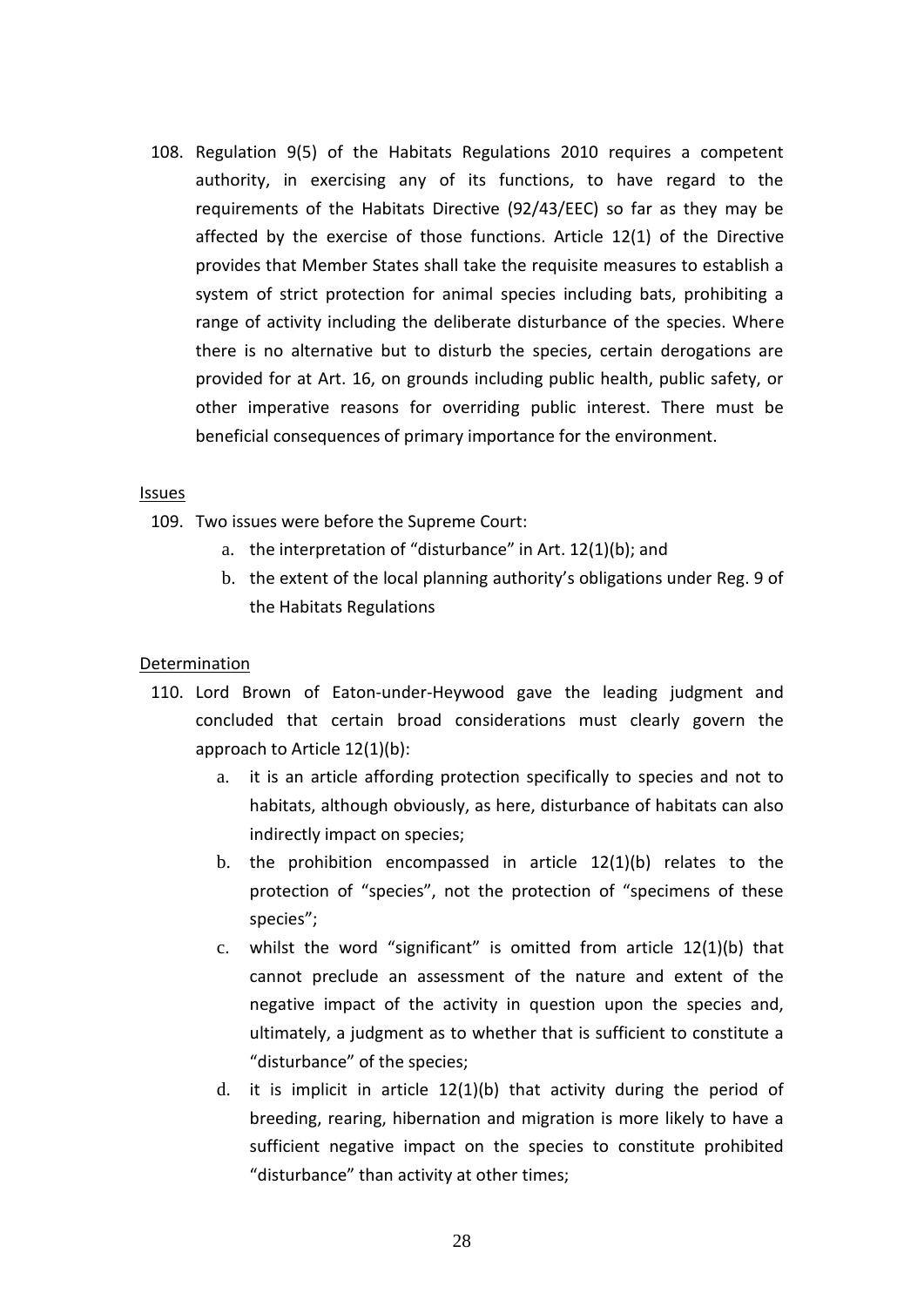108. Regulation 9(5) of the Habitats Regulations 2010 requires a competent authority, in exercising any of its functions, to have regard to the requirements of the Habitats Directive (92/43/EEC) so far as they may be affected by the exercise of those functions. Article 12(1) of the Directive provides that Member States shall take the requisite measures to establish a system of strict protection for animal species including bats, prohibiting a range of activity including the deliberate disturbance of the species. Where there is no alternative but to disturb the species, certain derogations are provided for at Art. 16, on grounds including public health, public safety, or other imperative reasons for overriding public interest. There must be beneficial consequences of primary importance for the environment.

### Issues

- 109. Two issues were before the Supreme Court:
	- a. the interpretation of "disturbance" in Art. 12(1)(b); and
	- b. the extent of the local planning authority's obligations under Reg. 9 of the Habitats Regulations

## Determination

- 110. Lord Brown of Eaton-under-Heywood gave the leading judgment and concluded that certain broad considerations must clearly govern the approach to Article 12(1)(b):
	- a. it is an article affording protection specifically to species and not to habitats, although obviously, as here, disturbance of habitats can also indirectly impact on species;
	- b. the prohibition encompassed in article 12(1)(b) relates to the protection of "species", not the protection of "specimens of these species";
	- c. whilst the word "significant" is omitted from article 12(1)(b) that cannot preclude an assessment of the nature and extent of the negative impact of the activity in question upon the species and, ultimately, a judgment as to whether that is sufficient to constitute a "disturbance" of the species;
	- d. it is implicit in article 12(1)(b) that activity during the period of breeding, rearing, hibernation and migration is more likely to have a sufficient negative impact on the species to constitute prohibited "disturbance" than activity at other times;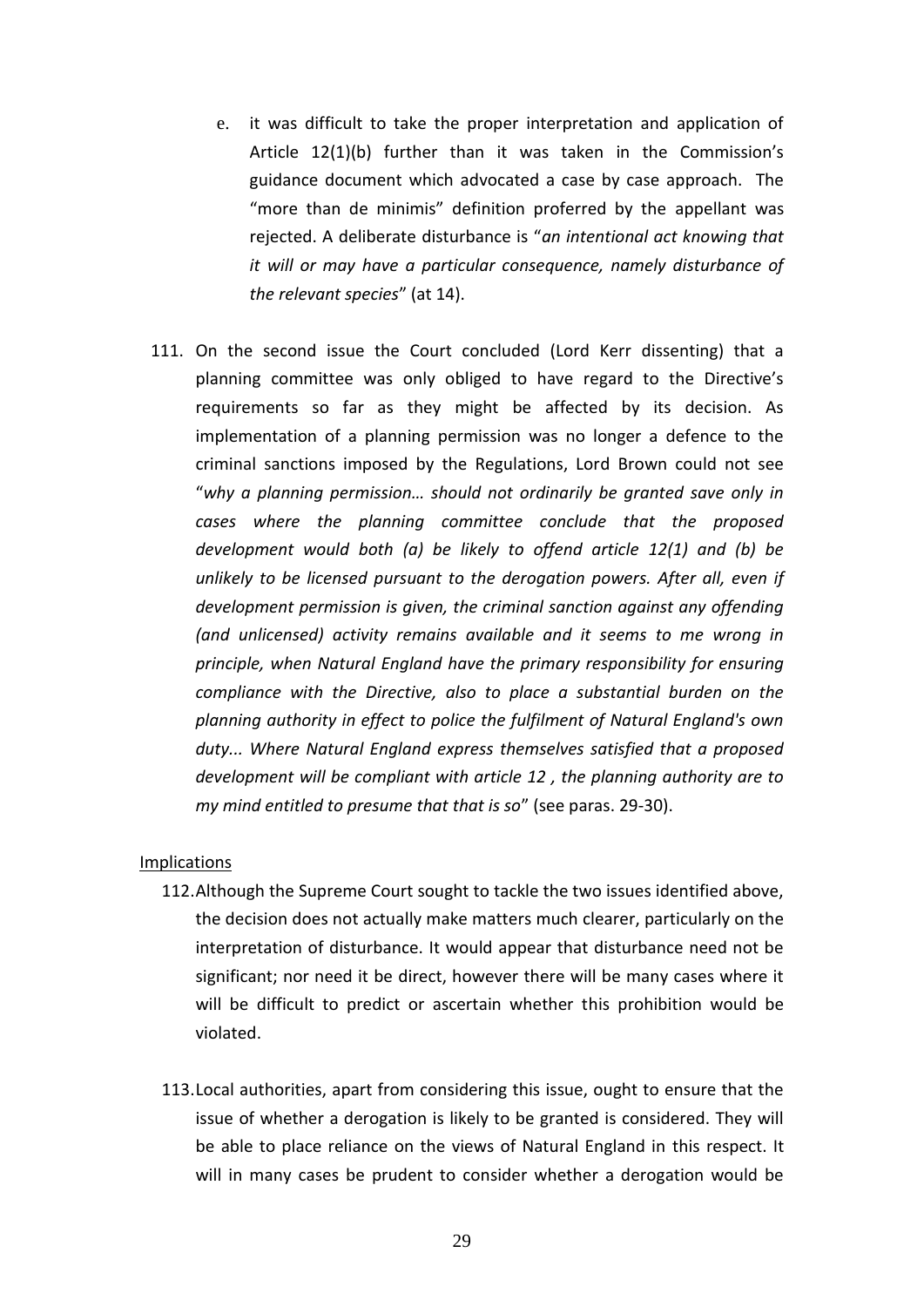- e. it was difficult to take the proper interpretation and application of Article 12(1)(b) further than it was taken in the Commission's guidance document which advocated a case by case approach. The "more than de minimis" definition proferred by the appellant was rejected. A deliberate disturbance is "*an intentional act knowing that it will or may have a particular consequence, namely disturbance of the relevant species*" (at 14).
- 111. On the second issue the Court concluded (Lord Kerr dissenting) that a planning committee was only obliged to have regard to the Directive's requirements so far as they might be affected by its decision. As implementation of a planning permission was no longer a defence to the criminal sanctions imposed by the Regulations, Lord Brown could not see "*why a planning permission… should not ordinarily be granted save only in cases where the planning committee conclude that the proposed development would both (a) be likely to offend article 12(1) and (b) be unlikely to be licensed pursuant to the derogation powers. After all, even if development permission is given, the criminal sanction against any offending (and unlicensed) activity remains available and it seems to me wrong in principle, when Natural England have the primary responsibility for ensuring compliance with the Directive, also to place a substantial burden on the planning authority in effect to police the fulfilment of Natural England's own duty... Where Natural England express themselves satisfied that a proposed development will be compliant with article 12 , the planning authority are to my mind entitled to presume that that is so*" (see paras. 29-30).

#### Implications

- 112.Although the Supreme Court sought to tackle the two issues identified above, the decision does not actually make matters much clearer, particularly on the interpretation of disturbance. It would appear that disturbance need not be significant; nor need it be direct, however there will be many cases where it will be difficult to predict or ascertain whether this prohibition would be violated.
- 113.Local authorities, apart from considering this issue, ought to ensure that the issue of whether a derogation is likely to be granted is considered. They will be able to place reliance on the views of Natural England in this respect. It will in many cases be prudent to consider whether a derogation would be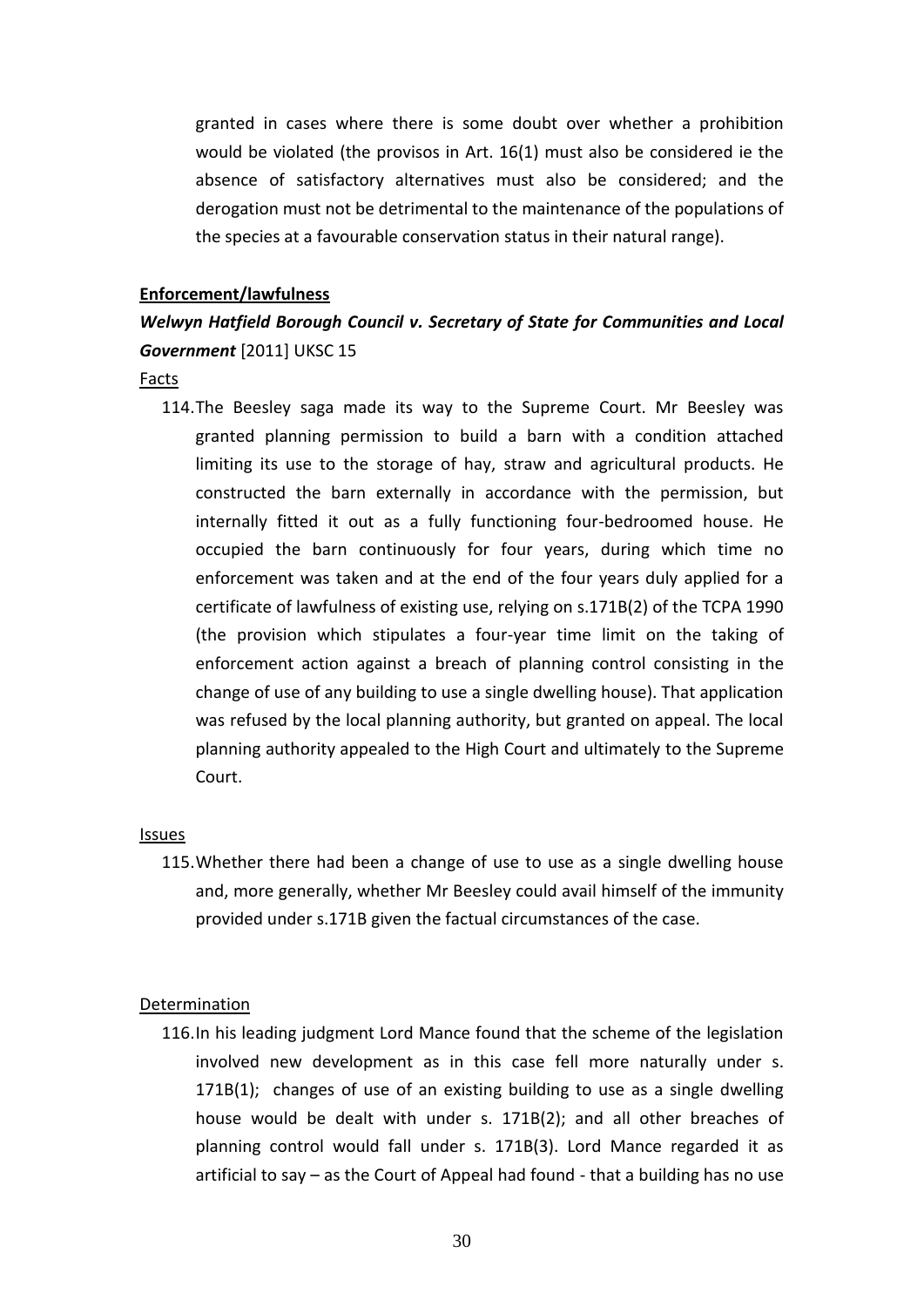granted in cases where there is some doubt over whether a prohibition would be violated (the provisos in Art. 16(1) must also be considered ie the absence of satisfactory alternatives must also be considered; and the derogation must not be detrimental to the maintenance of the populations of the species at a favourable conservation status in their natural range).

#### **Enforcement/lawfulness**

## *Welwyn Hatfield Borough Council v. Secretary of State for Communities and Local Government* [2011] UKSC 15

#### Facts

114.The Beesley saga made its way to the Supreme Court. Mr Beesley was granted planning permission to build a barn with a condition attached limiting its use to the storage of hay, straw and agricultural products. He constructed the barn externally in accordance with the permission, but internally fitted it out as a fully functioning four-bedroomed house. He occupied the barn continuously for four years, during which time no enforcement was taken and at the end of the four years duly applied for a certificate of lawfulness of existing use, relying on s.171B(2) of the TCPA 1990 (the provision which stipulates a four-year time limit on the taking of enforcement action against a breach of planning control consisting in the change of use of any building to use a single dwelling house). That application was refused by the local planning authority, but granted on appeal. The local planning authority appealed to the High Court and ultimately to the Supreme Court.

#### Issues

115.Whether there had been a change of use to use as a single dwelling house and, more generally, whether Mr Beesley could avail himself of the immunity provided under s.171B given the factual circumstances of the case.

#### Determination

116.In his leading judgment Lord Mance found that the scheme of the legislation involved new development as in this case fell more naturally under s. 171B(1); changes of use of an existing building to use as a single dwelling house would be dealt with under s. 171B(2); and all other breaches of planning control would fall under s. 171B(3). Lord Mance regarded it as artificial to say – as the Court of Appeal had found - that a building has no use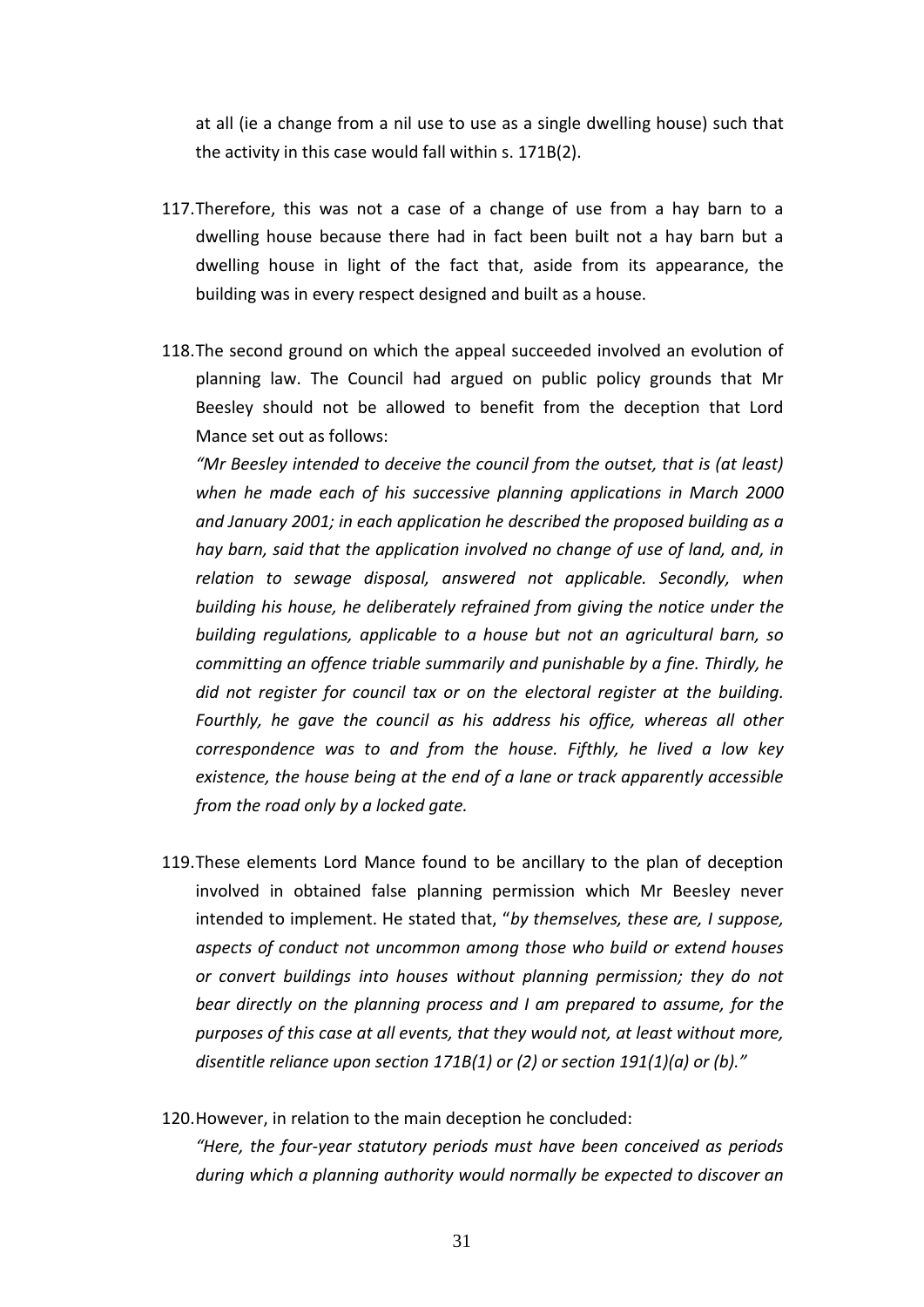at all (ie a change from a nil use to use as a single dwelling house) such that the activity in this case would fall within s. 171B(2).

- 117.Therefore, this was not a case of a change of use from a hay barn to a dwelling house because there had in fact been built not a hay barn but a dwelling house in light of the fact that, aside from its appearance, the building was in every respect designed and built as a house.
- 118.The second ground on which the appeal succeeded involved an evolution of planning law. The Council had argued on public policy grounds that Mr Beesley should not be allowed to benefit from the deception that Lord Mance set out as follows:

*"Mr Beesley intended to deceive the council from the outset, that is (at least) when he made each of his successive planning applications in March 2000 and January 2001; in each application he described the proposed building as a hay barn, said that the application involved no change of use of land, and, in relation to sewage disposal, answered not applicable. Secondly, when building his house, he deliberately refrained from giving the notice under the building regulations, applicable to a house but not an agricultural barn, so committing an offence triable summarily and punishable by a fine. Thirdly, he did not register for council tax or on the electoral register at the building. Fourthly, he gave the council as his address his office, whereas all other correspondence was to and from the house. Fifthly, he lived a low key existence, the house being at the end of a lane or track apparently accessible from the road only by a locked gate.*

119.These elements Lord Mance found to be ancillary to the plan of deception involved in obtained false planning permission which Mr Beesley never intended to implement. He stated that, "*by themselves, these are, I suppose, aspects of conduct not uncommon among those who build or extend houses or convert buildings into houses without planning permission; they do not bear directly on the planning process and I am prepared to assume, for the purposes of this case at all events, that they would not, at least without more, disentitle reliance upon section 171B(1) or (2) or section 191(1)(a) or (b)."* 

120.However, in relation to the main deception he concluded:

*"Here, the four-year statutory periods must have been conceived as periods during which a planning authority would normally be expected to discover an*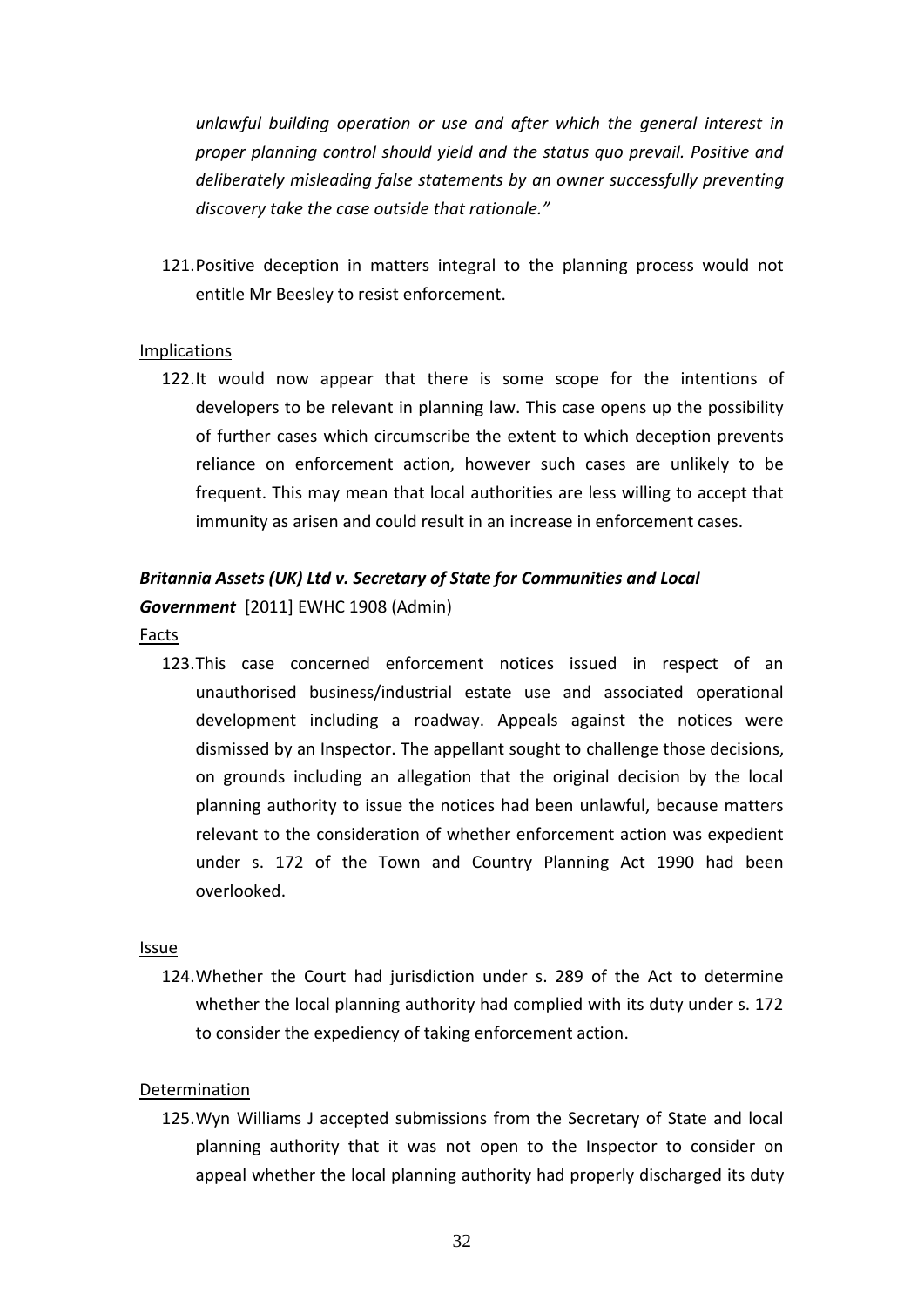*unlawful building operation or use and after which the general interest in proper planning control should yield and the status quo prevail. Positive and deliberately misleading false statements by an owner successfully preventing discovery take the case outside that rationale."*

121.Positive deception in matters integral to the planning process would not entitle Mr Beesley to resist enforcement.

### Implications

122.It would now appear that there is some scope for the intentions of developers to be relevant in planning law. This case opens up the possibility of further cases which circumscribe the extent to which deception prevents reliance on enforcement action, however such cases are unlikely to be frequent. This may mean that local authorities are less willing to accept that immunity as arisen and could result in an increase in enforcement cases.

## *Britannia Assets (UK) Ltd v. Secretary of State for Communities and Local Government* [2011] EWHC 1908 (Admin)

Facts

123.This case concerned enforcement notices issued in respect of an unauthorised business/industrial estate use and associated operational development including a roadway. Appeals against the notices were dismissed by an Inspector. The appellant sought to challenge those decisions, on grounds including an allegation that the original decision by the local planning authority to issue the notices had been unlawful, because matters relevant to the consideration of whether enforcement action was expedient under s. 172 of the Town and Country Planning Act 1990 had been overlooked.

#### Issue

124.Whether the Court had jurisdiction under s. 289 of the Act to determine whether the local planning authority had complied with its duty under s. 172 to consider the expediency of taking enforcement action.

#### **Determination**

125.Wyn Williams J accepted submissions from the Secretary of State and local planning authority that it was not open to the Inspector to consider on appeal whether the local planning authority had properly discharged its duty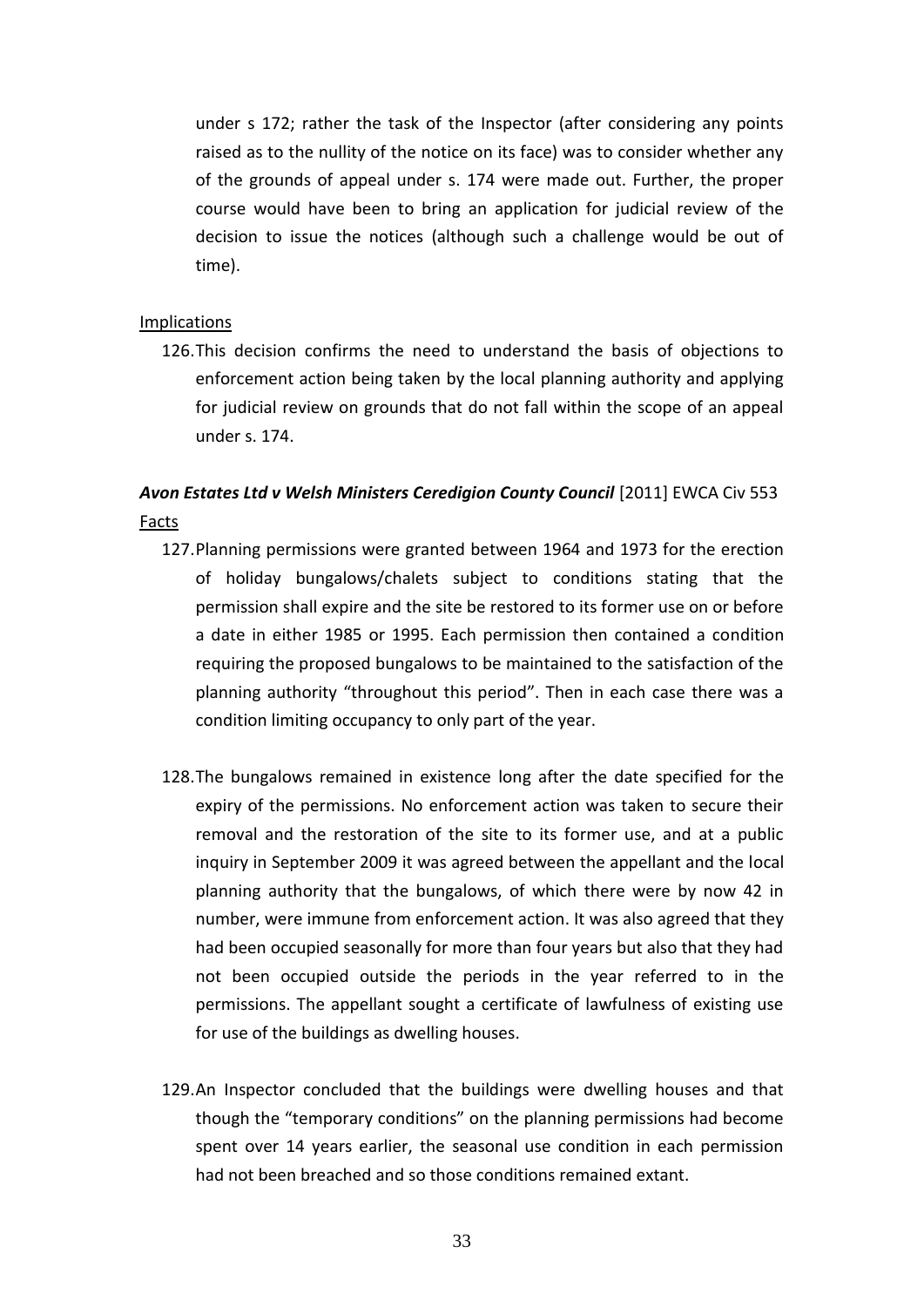under s 172; rather the task of the Inspector (after considering any points raised as to the nullity of the notice on its face) was to consider whether any of the grounds of appeal under s. 174 were made out. Further, the proper course would have been to bring an application for judicial review of the decision to issue the notices (although such a challenge would be out of time).

## **Implications**

126.This decision confirms the need to understand the basis of objections to enforcement action being taken by the local planning authority and applying for judicial review on grounds that do not fall within the scope of an appeal under s. 174.

## Avon Estates Ltd v Welsh Ministers Ceredigion County Council [2011] EWCA Civ 553 Facts

- 127.Planning permissions were granted between 1964 and 1973 for the erection of holiday bungalows/chalets subject to conditions stating that the permission shall expire and the site be restored to its former use on or before a date in either 1985 or 1995. Each permission then contained a condition requiring the proposed bungalows to be maintained to the satisfaction of the planning authority "throughout this period". Then in each case there was a condition limiting occupancy to only part of the year.
- 128.The bungalows remained in existence long after the date specified for the expiry of the permissions. No enforcement action was taken to secure their removal and the restoration of the site to its former use, and at a public inquiry in September 2009 it was agreed between the appellant and the local planning authority that the bungalows, of which there were by now 42 in number, were immune from enforcement action. It was also agreed that they had been occupied seasonally for more than four years but also that they had not been occupied outside the periods in the year referred to in the permissions. The appellant sought a certificate of lawfulness of existing use for use of the buildings as dwelling houses.
- 129.An Inspector concluded that the buildings were dwelling houses and that though the "temporary conditions" on the planning permissions had become spent over 14 years earlier, the seasonal use condition in each permission had not been breached and so those conditions remained extant.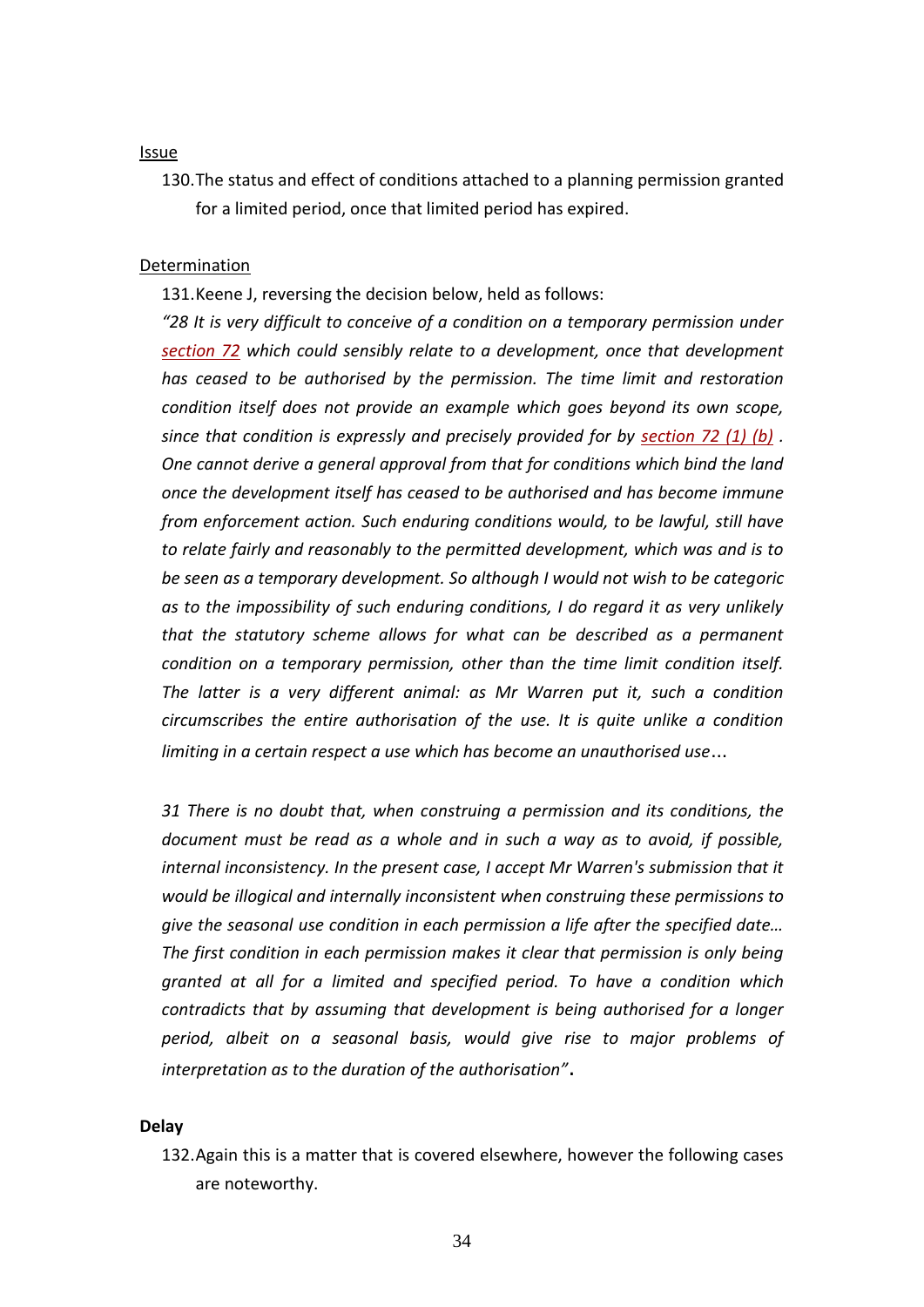#### Issue

130.The status and effect of conditions attached to a planning permission granted for a limited period, once that limited period has expired.

#### Determination

131.Keene J, reversing the decision below, held as follows:

*"28 It is very difficult to conceive of a condition on a temporary permission under [section 72](http://login.westlaw.co.uk/maf/wluk/app/document?src=doc&linktype=ref&&context=14&crumb-action=replace&docguid=I114198D0E44C11DA8D70A0E70A78ED65) which could sensibly relate to a development, once that development has ceased to be authorised by the permission. The time limit and restoration condition itself does not provide an example which goes beyond its own scope, since that condition is expressly and precisely provided for by [section 72 \(1\) \(b\)](http://login.westlaw.co.uk/maf/wluk/app/document?src=doc&linktype=ref&&context=14&crumb-action=replace&docguid=I114198D0E44C11DA8D70A0E70A78ED65) . One cannot derive a general approval from that for conditions which bind the land once the development itself has ceased to be authorised and has become immune from enforcement action. Such enduring conditions would, to be lawful, still have to relate fairly and reasonably to the permitted development, which was and is to be seen as a temporary development. So although I would not wish to be categoric as to the impossibility of such enduring conditions, I do regard it as very unlikely that the statutory scheme allows for what can be described as a permanent condition on a temporary permission, other than the time limit condition itself. The latter is a very different animal: as Mr Warren put it, such a condition circumscribes the entire authorisation of the use. It is quite unlike a condition limiting in a certain respect a use which has become an unauthorised use*…

*31 There is no doubt that, when construing a permission and its conditions, the document must be read as a whole and in such a way as to avoid, if possible, internal inconsistency. In the present case, I accept Mr Warren's submission that it would be illogical and internally inconsistent when construing these permissions to give the seasonal use condition in each permission a life after the specified date… The first condition in each permission makes it clear that permission is only being granted at all for a limited and specified period. To have a condition which contradicts that by assuming that development is being authorised for a longer period, albeit on a seasonal basis, would give rise to major problems of interpretation as to the duration of the authorisation"*.

#### **Delay**

132.Again this is a matter that is covered elsewhere, however the following cases are noteworthy.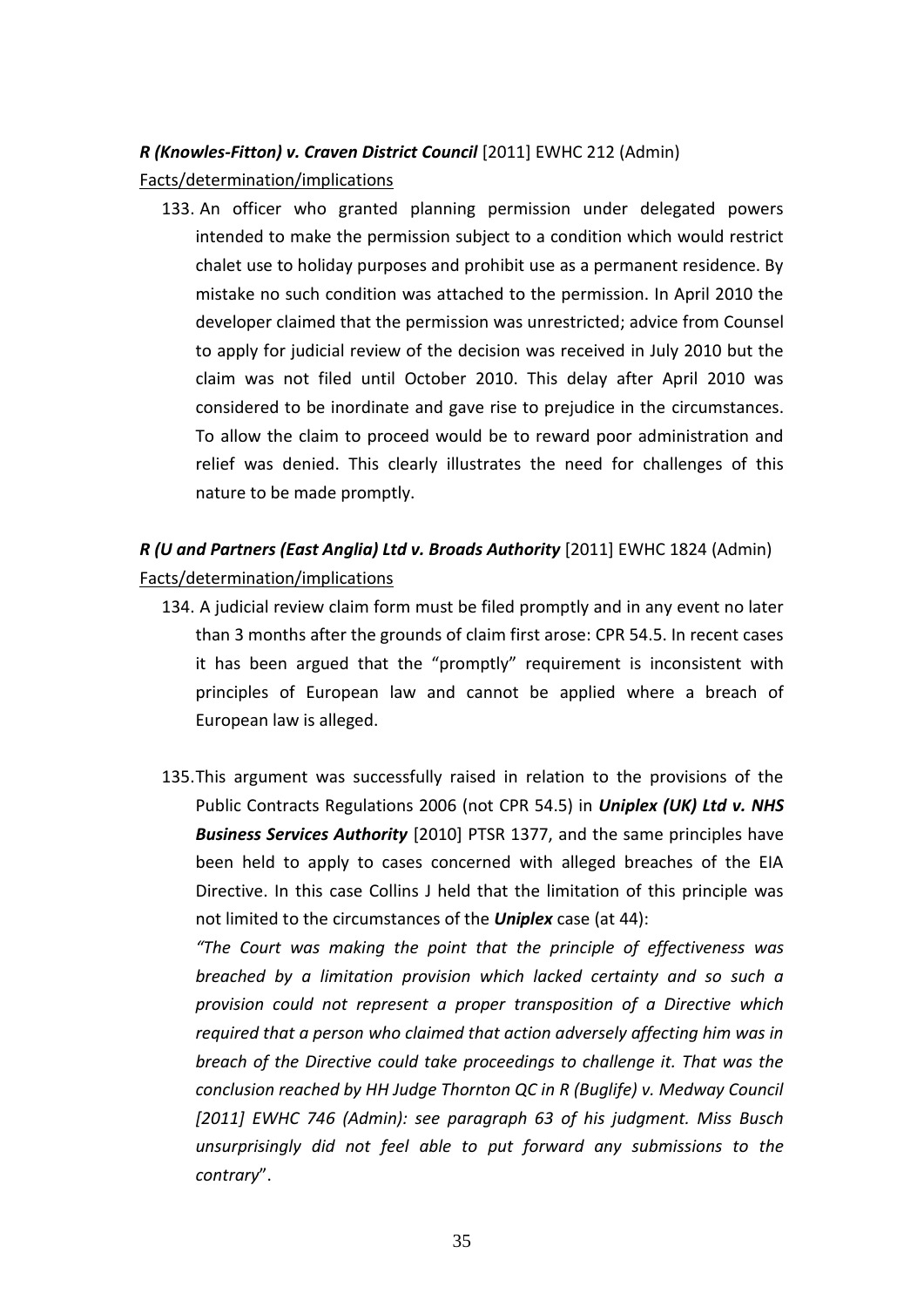## *R (Knowles-Fitton) v. Craven District Council* [2011] EWHC 212 (Admin)

Facts/determination/implications

133. An officer who granted planning permission under delegated powers intended to make the permission subject to a condition which would restrict chalet use to holiday purposes and prohibit use as a permanent residence. By mistake no such condition was attached to the permission. In April 2010 the developer claimed that the permission was unrestricted; advice from Counsel to apply for judicial review of the decision was received in July 2010 but the claim was not filed until October 2010. This delay after April 2010 was considered to be inordinate and gave rise to prejudice in the circumstances. To allow the claim to proceed would be to reward poor administration and relief was denied. This clearly illustrates the need for challenges of this nature to be made promptly.

## *R (U and Partners (East Anglia) Ltd v. Broads Authority* [2011] EWHC 1824 (Admin) Facts/determination/implications

- 134. A judicial review claim form must be filed promptly and in any event no later than 3 months after the grounds of claim first arose: CPR 54.5. In recent cases it has been argued that the "promptly" requirement is inconsistent with principles of European law and cannot be applied where a breach of European law is alleged.
- 135.This argument was successfully raised in relation to the provisions of the Public Contracts Regulations 2006 (not CPR 54.5) in *Uniplex (UK) Ltd v. NHS Business Services Authority* [2010] PTSR 1377, and the same principles have been held to apply to cases concerned with alleged breaches of the EIA Directive. In this case Collins J held that the limitation of this principle was not limited to the circumstances of the *Uniplex* case (at 44):

*"The Court was making the point that the principle of effectiveness was breached by a limitation provision which lacked certainty and so such a provision could not represent a proper transposition of a Directive which required that a person who claimed that action adversely affecting him was in breach of the Directive could take proceedings to challenge it. That was the conclusion reached by HH Judge Thornton QC in R (Buglife) v. Medway Council [2011] EWHC 746 (Admin): see paragraph 63 of his judgment. Miss Busch unsurprisingly did not feel able to put forward any submissions to the contrary*".